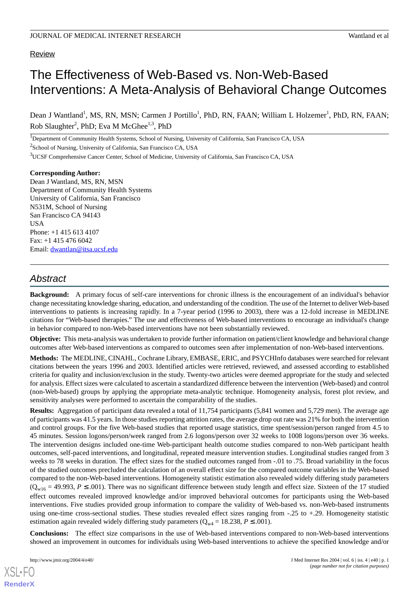#### **Review**

## The Effectiveness of Web-Based vs. Non-Web-Based Interventions: A Meta-Analysis of Behavioral Change Outcomes

Dean J Wantland<sup>1</sup>, MS, RN, MSN; Carmen J Portillo<sup>1</sup>, PhD, RN, FAAN; William L Holzemer<sup>1</sup>, PhD, RN, FAAN; Rob Slaughter<sup>2</sup>, PhD; Eva M McGhee<sup>1,3</sup>, PhD

<sup>1</sup>Department of Community Health Systems, School of Nursing, University of California, San Francisco CA, USA

<sup>2</sup>School of Nursing, University of California, San Francisco CA, USA

<sup>3</sup>UCSF Comprehensive Cancer Center, School of Medicine, University of California, San Francisco CA, USA

**Corresponding Author:** Dean J Wantland, MS, RN, MSN Department of Community Health Systems University of California, San Francisco N531M, School of Nursing San Francisco CA 94143 **IISA** Phone: +1 415 613 4107 Fax: +1 415 476 6042 Email: [dwantlan@itsa.ucsf.edu](mailto:dwantlan@itsa.ucsf.edu)

#### *Abstract*

**Background:** A primary focus of self-care interventions for chronic illness is the encouragement of an individual's behavior change necessitating knowledge sharing, education, and understanding of the condition. The use of the Internet to deliver Web-based interventions to patients is increasing rapidly. In a 7-year period (1996 to 2003), there was a 12-fold increase in MEDLINE citations for "Web-based therapies." The use and effectiveness of Web-based interventions to encourage an individual's change in behavior compared to non-Web-based interventions have not been substantially reviewed.

**Objective:** This meta-analysis was undertaken to provide further information on patient/client knowledge and behavioral change outcomes after Web-based interventions as compared to outcomes seen after implementation of non-Web-based interventions.

**Methods:** The MEDLINE, CINAHL, Cochrane Library, EMBASE, ERIC, and PSYCHInfo databases were searched for relevant citations between the years 1996 and 2003. Identified articles were retrieved, reviewed, and assessed according to established criteria for quality and inclusion/exclusion in the study. Twenty-two articles were deemed appropriate for the study and selected for analysis. Effect sizes were calculated to ascertain a standardized difference between the intervention (Web-based) and control (non-Web-based) groups by applying the appropriate meta-analytic technique. Homogeneity analysis, forest plot review, and sensitivity analyses were performed to ascertain the comparability of the studies.

**Results:** Aggregation of participant data revealed a total of 11,754 participants (5,841 women and 5,729 men). The average age of participants was 41.5 years. In those studies reporting attrition rates, the average drop out rate was 21% for both the intervention and control groups. For the five Web-based studies that reported usage statistics, time spent/session/person ranged from 4.5 to 45 minutes. Session logons/person/week ranged from 2.6 logons/person over 32 weeks to 1008 logons/person over 36 weeks. The intervention designs included one-time Web-participant health outcome studies compared to non-Web participant health outcomes, self-paced interventions, and longitudinal, repeated measure intervention studies. Longitudinal studies ranged from 3 weeks to 78 weeks in duration. The effect sizes for the studied outcomes ranged from -.01 to .75. Broad variability in the focus of the studied outcomes precluded the calculation of an overall effect size for the compared outcome variables in the Web-based compared to the non-Web-based interventions. Homogeneity statistic estimation also revealed widely differing study parameters  $(Q_{w16} = 49.993, P \le .001)$ . There was no significant difference between study length and effect size. Sixteen of the 17 studied effect outcomes revealed improved knowledge and/or improved behavioral outcomes for participants using the Web-based interventions. Five studies provided group information to compare the validity of Web-based vs. non-Web-based instruments using one-time cross-sectional studies. These studies revealed effect sizes ranging from -.25 to +.29. Homogeneity statistic estimation again revealed widely differing study parameters ( $Q_{w4}$  = 18.238, *P* ≤ .001).

**Conclusions:** The effect size comparisons in the use of Web-based interventions compared to non-Web-based interventions showed an improvement in outcomes for individuals using Web-based interventions to achieve the specified knowledge and/or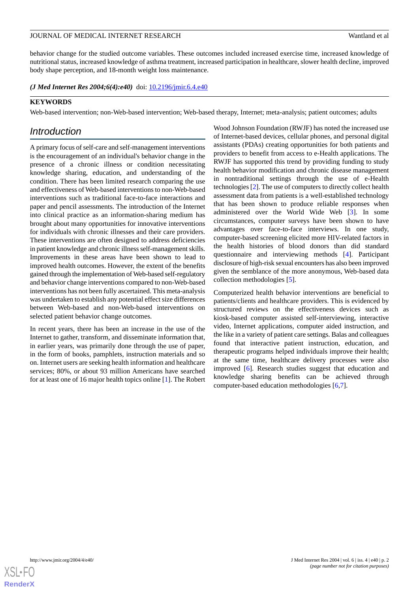behavior change for the studied outcome variables. These outcomes included increased exercise time, increased knowledge of nutritional status, increased knowledge of asthma treatment, increased participation in healthcare, slower health decline, improved body shape perception, and 18-month weight loss maintenance.

*(J Med Internet Res 2004;6(4):e40)* doi:  $10.2196/jmir.6.4.e40$ 

#### **KEYWORDS**

Web-based intervention; non-Web-based intervention; Web-based therapy, Internet; meta-analysis; patient outcomes; adults

#### *Introduction*

A primary focus of self-care and self-management interventions is the encouragement of an individual's behavior change in the presence of a chronic illness or condition necessitating knowledge sharing, education, and understanding of the condition. There has been limited research comparing the use and effectiveness of Web-based interventions to non-Web-based interventions such as traditional face-to-face interactions and paper and pencil assessments. The introduction of the Internet into clinical practice as an information-sharing medium has brought about many opportunities for innovative interventions for individuals with chronic illnesses and their care providers. These interventions are often designed to address deficiencies in patient knowledge and chronic illness self-management skills. Improvements in these areas have been shown to lead to improved health outcomes. However, the extent of the benefits gained through the implementation of Web-based self-regulatory and behavior change interventions compared to non-Web-based interventions has not been fully ascertained. This meta-analysis was undertaken to establish any potential effect size differences between Web-based and non-Web-based interventions on selected patient behavior change outcomes.

In recent years, there has been an increase in the use of the Internet to gather, transform, and disseminate information that, in earlier years, was primarily done through the use of paper, in the form of books, pamphlets, instruction materials and so on. Internet users are seeking health information and healthcare services; 80%, or about 93 million Americans have searched for at least one of 16 major health topics online [[1\]](#page-17-0). The Robert

Wood Johnson Foundation (RWJF) has noted the increased use of Internet-based devices, cellular phones, and personal digital assistants (PDAs) creating opportunities for both patients and providers to benefit from access to e-Health applications. The RWJF has supported this trend by providing funding to study health behavior modification and chronic disease management in nontraditional settings through the use of e-Health technologies [\[2](#page-17-1)]. The use of computers to directly collect health assessment data from patients is a well-established technology that has been shown to produce reliable responses when administered over the World Wide Web [\[3](#page-17-2)]. In some circumstances, computer surveys have been shown to have advantages over face-to-face interviews. In one study, computer-based screening elicited more HIV-related factors in the health histories of blood donors than did standard questionnaire and interviewing methods [[4\]](#page-17-3). Participant disclosure of high-risk sexual encounters has also been improved given the semblance of the more anonymous, Web-based data collection methodologies [\[5](#page-17-4)].

Computerized health behavior interventions are beneficial to patients/clients and healthcare providers. This is evidenced by structured reviews on the effectiveness devices such as kiosk-based computer assisted self-interviewing, interactive video, Internet applications, computer aided instruction, and the like in a variety of patient care settings. Balas and colleagues found that interactive patient instruction, education, and therapeutic programs helped individuals improve their health; at the same time, healthcare delivery processes were also improved [[6\]](#page-17-5). Research studies suggest that education and knowledge sharing benefits can be achieved through computer-based education methodologies [[6](#page-17-5)[,7](#page-17-6)].

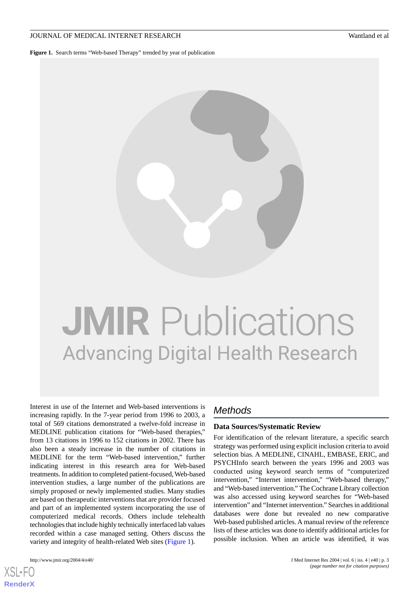<span id="page-2-0"></span>**Figure 1.** Search terms "Web-based Therapy" trended by year of publication

# **JMIR Publications Advancing Digital Health Research**

Interest in use of the Internet and Web-based interventions is increasing rapidly. In the 7-year period from 1996 to 2003, a total of 569 citations demonstrated a twelve-fold increase in MEDLINE publication citations for "Web-based therapies," from 13 citations in 1996 to 152 citations in 2002. There has also been a steady increase in the number of citations in MEDLINE for the term "Web-based intervention," further indicating interest in this research area for Web-based treatments. In addition to completed patient-focused, Web-based intervention studies, a large number of the publications are simply proposed or newly implemented studies. Many studies are based on therapeutic interventions that are provider focused and part of an implemented system incorporating the use of computerized medical records. Others include telehealth technologies that include highly technically interfaced lab values recorded within a case managed setting. Others discuss the variety and integrity of health-related Web sites ([Figure 1\)](#page-2-0).

[XSL](http://www.w3.org/Style/XSL)•FO **[RenderX](http://www.renderx.com/)**

#### *Methods*

#### **Data Sources/Systematic Review**

For identification of the relevant literature, a specific search strategy was performed using explicit inclusion criteria to avoid selection bias. A MEDLINE, CINAHL, EMBASE, ERIC, and PSYCHInfo search between the years 1996 and 2003 was conducted using keyword search terms of "computerized intervention," "Internet intervention," "Web-based therapy," and "Web-based intervention." The Cochrane Library collection was also accessed using keyword searches for "Web-based intervention" and "Internet intervention." Searches in additional databases were done but revealed no new comparative Web-based published articles. A manual review of the reference lists of these articles was done to identify additional articles for possible inclusion. When an article was identified, it was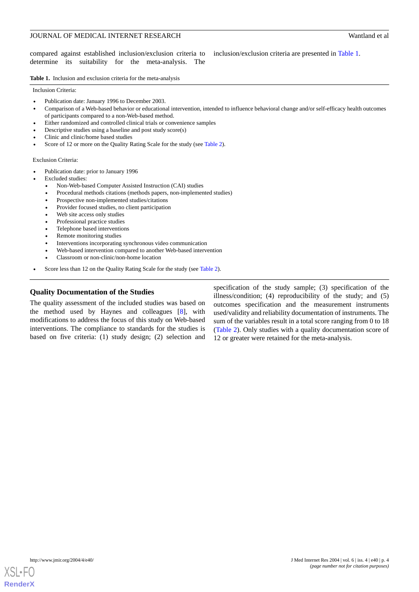compared against established inclusion/exclusion criteria to determine its suitability for the meta-analysis. The

inclusion/exclusion criteria are presented in [Table 1.](#page-3-0)

<span id="page-3-0"></span>**Table 1.** Inclusion and exclusion criteria for the meta-analysis

#### Inclusion Criteria:

- Publication date: January 1996 to December 2003.
- Comparison of a Web-based behavior or educational intervention, intended to influence behavioral change and/or self-efficacy health outcomes of participants compared to a non-Web-based method.
- Either randomized and controlled clinical trials or convenience samples
- Descriptive studies using a baseline and post study score(s)
- Clinic and clinic/home based studies
- Score of 12 or more on the Quality Rating Scale for the study (see [Table 2\)](#page-4-0).

#### Exclusion Criteria:

- Publication date: prior to January 1996
- Excluded studies:
	- Non-Web-based Computer Assisted Instruction (CAI) studies
	- Procedural methods citations (methods papers, non-implemented studies)
	- Prospective non-implemented studies/citations
	- Provider focused studies, no client participation
	- Web site access only studies
	- Professional practice studies
	- Telephone based interventions
	- Remote monitoring studies
	- Interventions incorporating synchronous video communication
	- Web-based intervention compared to another Web-based intervention
	- Classroom or non-clinic/non-home location
- Score less than 12 on the Quality Rating Scale for the study (see [Table 2](#page-4-0)).

#### **Quality Documentation of the Studies**

The quality assessment of the included studies was based on the method used by Haynes and colleagues [[8](#page-17-7)], with modifications to address the focus of this study on Web-based interventions. The compliance to standards for the studies is based on five criteria: (1) study design; (2) selection and

specification of the study sample; (3) specification of the illness/condition; (4) reproducibility of the study; and (5) outcomes specification and the measurement instruments used/validity and reliability documentation of instruments. The sum of the variables result in a total score ranging from 0 to 18 ([Table 2\)](#page-4-0). Only studies with a quality documentation score of 12 or greater were retained for the meta-analysis.

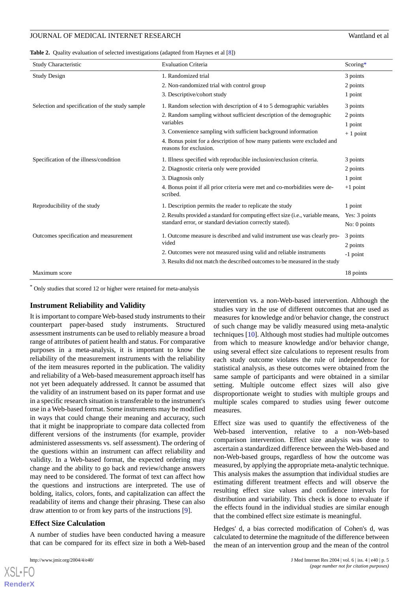<span id="page-4-0"></span>

|  | <b>Table 2.</b> Quality evaluation of selected investigations (adapted from Haynes et al [8]) |  |  |  |  |  |  |  |
|--|-----------------------------------------------------------------------------------------------|--|--|--|--|--|--|--|
|--|-----------------------------------------------------------------------------------------------|--|--|--|--|--|--|--|

| Study Characteristic                            | <b>Evaluation Criteria</b>                                                                        | Scoring $*$          |
|-------------------------------------------------|---------------------------------------------------------------------------------------------------|----------------------|
| <b>Study Design</b>                             | 1. Randomized trial                                                                               | 3 points             |
|                                                 | 2. Non-randomized trial with control group                                                        | 2 points             |
|                                                 | 3. Descriptive/cohort study                                                                       | 1 point              |
| Selection and specification of the study sample | 1. Random selection with description of 4 to 5 demographic variables                              | 3 points             |
|                                                 | 2. Random sampling without sufficient description of the demographic                              | 2 points             |
|                                                 | variables                                                                                         | 1 point              |
|                                                 | 3. Convenience sampling with sufficient background information                                    | $+1$ point           |
|                                                 | 4. Bonus point for a description of how many patients were excluded and<br>reasons for exclusion. |                      |
| Specification of the illness/condition          | 1. Illness specified with reproducible inclusion/exclusion criteria.                              | 3 points             |
|                                                 | 2. Diagnostic criteria only were provided                                                         | 2 points             |
|                                                 | 3. Diagnosis only                                                                                 | 1 point              |
|                                                 | 4. Bonus point if all prior criteria were met and co-morbidities were de-<br>scribed.             | $+1$ point           |
| Reproducibility of the study                    | 1. Description permits the reader to replicate the study                                          | 1 point              |
|                                                 | 2. Results provided a standard for computing effect size (i.e., variable means,                   | Yes: 3 points        |
|                                                 | standard error, or standard deviation correctly stated).                                          | No: 0 points         |
| Outcomes specification and measurement          | 1. Outcome measure is described and valid instrument use was clearly pro-<br>vided                | 3 points<br>2 points |
|                                                 | 2. Outcomes were not measured using valid and reliable instruments                                | -1 point             |
|                                                 | 3. Results did not match the described outcomes to be measured in the study                       |                      |
| Maximum score                                   |                                                                                                   | 18 points            |
|                                                 |                                                                                                   |                      |

\* Only studies that scored 12 or higher were retained for meta-analysis

#### **Instrument Reliability and Validity**

It is important to compare Web-based study instruments to their counterpart paper-based study instruments. Structured assessment instruments can be used to reliably measure a broad range of attributes of patient health and status. For comparative purposes in a meta-analysis, it is important to know the reliability of the measurement instruments with the reliability of the item measures reported in the publication. The validity and reliability of a Web-based measurement approach itself has not yet been adequately addressed. It cannot be assumed that the validity of an instrument based on its paper format and use in a specific research situation is transferable to the instrument's use in a Web-based format. Some instruments may be modified in ways that could change their meaning and accuracy, such that it might be inappropriate to compare data collected from different versions of the instruments (for example, provider administered assessments vs. self assessment). The ordering of the questions within an instrument can affect reliability and validity. In a Web-based format, the expected ordering may change and the ability to go back and review/change answers may need to be considered. The format of text can affect how the questions and instructions are interpreted. The use of bolding, italics, colors, fonts, and capitalization can affect the readability of items and change their phrasing. These can also draw attention to or from key parts of the instructions [\[9](#page-17-8)].

#### **Effect Size Calculation**

A number of studies have been conducted having a measure that can be compared for its effect size in both a Web-based

 $X$ SL•F $O$ **[RenderX](http://www.renderx.com/)** intervention vs. a non-Web-based intervention. Although the studies vary in the use of different outcomes that are used as measures for knowledge and/or behavior change, the construct of such change may be validly measured using meta-analytic techniques [\[10](#page-17-9)]. Although most studies had multiple outcomes from which to measure knowledge and/or behavior change, using several effect size calculations to represent results from each study outcome violates the rule of independence for statistical analysis, as these outcomes were obtained from the same sample of participants and were obtained in a similar setting. Multiple outcome effect sizes will also give disproportionate weight to studies with multiple groups and multiple scales compared to studies using fewer outcome measures.

Effect size was used to quantify the effectiveness of the Web-based intervention, relative to a non-Web-based comparison intervention. Effect size analysis was done to ascertain a standardized difference between the Web-based and non-Web-based groups, regardless of how the outcome was measured, by applying the appropriate meta-analytic technique. This analysis makes the assumption that individual studies are estimating different treatment effects and will observe the resulting effect size values and confidence intervals for distribution and variability. This check is done to evaluate if the effects found in the individual studies are similar enough that the combined effect size estimate is meaningful.

Hedges' d, a bias corrected modification of Cohen's d, was calculated to determine the magnitude of the difference between the mean of an intervention group and the mean of the control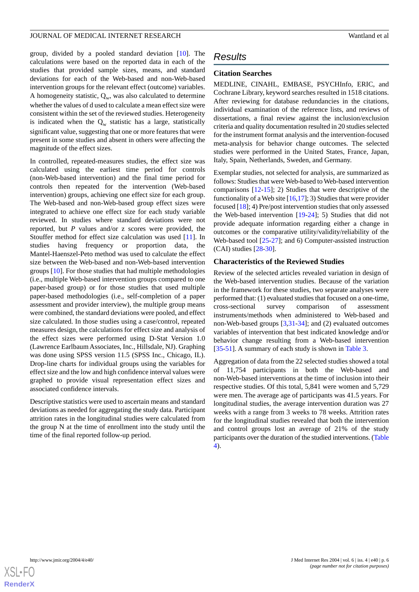group, divided by a pooled standard deviation [[10\]](#page-17-9). The calculations were based on the reported data in each of the studies that provided sample sizes, means, and standard deviations for each of the Web-based and non-Web-based intervention groups for the relevant effect (outcome) variables. A homogeneity statistic,  $Q_w$ , was also calculated to determine whether the values of d used to calculate a mean effect size were consistent within the set of the reviewed studies. Heterogeneity is indicated when the  $Q_w$  statistic has a large, statistically significant value, suggesting that one or more features that were present in some studies and absent in others were affecting the magnitude of the effect sizes.

In controlled, repeated-measures studies, the effect size was calculated using the earliest time period for controls (non-Web-based intervention) and the final time period for controls then repeated for the intervention (Web-based intervention) groups, achieving one effect size for each group. The Web-based and non-Web-based group effect sizes were integrated to achieve one effect size for each study variable reviewed. In studies where standard deviations were not reported, but *P* values and/or z scores were provided, the Stouffer method for effect size calculation was used [[11\]](#page-17-10). In studies having frequency or proportion data, the Mantel-Haenszel-Peto method was used to calculate the effect size between the Web-based and non-Web-based intervention groups [\[10](#page-17-9)]. For those studies that had multiple methodologies (i.e., multiple Web-based intervention groups compared to one paper-based group) or for those studies that used multiple paper-based methodologies (i.e., self-completion of a paper assessment and provider interview), the multiple group means were combined, the standard deviations were pooled, and effect size calculated. In those studies using a case/control, repeated measures design, the calculations for effect size and analysis of the effect sizes were performed using D-Stat Version 1.0 (Lawrence Earlbaum Associates, Inc., Hillsdale, NJ). Graphing was done using SPSS version 11.5 (SPSS Inc., Chicago, IL). Drop-line charts for individual groups using the variables for effect size and the low and high confidence interval values were graphed to provide visual representation effect sizes and associated confidence intervals.

Descriptive statistics were used to ascertain means and standard deviations as needed for aggregating the study data. Participant attrition rates in the longitudinal studies were calculated from the group N at the time of enrollment into the study until the time of the final reported follow-up period.

### *Results*

#### **Citation Searches**

MEDLINE, CINAHL, EMBASE, PSYCHInfo, ERIC, and Cochrane Library, keyword searches resulted in 1518 citations. After reviewing for database redundancies in the citations, individual examination of the reference lists, and reviews of dissertations, a final review against the inclusion/exclusion criteria and quality documentation resulted in 20 studies selected for the instrument format analysis and the intervention-focused meta-analysis for behavior change outcomes. The selected studies were performed in the United States, France, Japan, Italy, Spain, Netherlands, Sweden, and Germany.

Exemplar studies, not selected for analysis, are summarized as follows: Studies that were Web-based to Web-based intervention comparisons  $[12-15]$  $[12-15]$  $[12-15]$ ; 2) Studies that were descriptive of the functionality of a Web site  $[16,17]$  $[16,17]$  $[16,17]$  $[16,17]$ ; 3) Studies that were provider focused [[18\]](#page-17-15); 4) Pre/post intervention studies that only assessed the Web-based intervention [[19](#page-17-16)[-24](#page-18-0)]; 5) Studies that did not provide adequate information regarding either a change in outcomes or the comparative utility/validity/reliability of the Web-based tool [\[25](#page-18-1)-[27\]](#page-18-2); and 6) Computer-assisted instruction (CAI) studies [[28-](#page-18-3)[30\]](#page-18-4).

#### **Characteristics of the Reviewed Studies**

Review of the selected articles revealed variation in design of the Web-based intervention studies. Because of the variation in the framework for these studies, two separate analyses were performed that: (1) evaluated studies that focused on a one-time, cross-sectional survey comparison of assessment instruments/methods when administered to Web-based and non-Web-based groups [\[3](#page-17-2),[31-](#page-18-5)[34](#page-18-6)]; and (2) evaluated outcomes variables of intervention that best indicated knowledge and/or behavior change resulting from a Web-based intervention [[35](#page-18-7)[-51](#page-19-0)]. A summary of each study is shown in [Table 3.](#page-6-0)

Aggregation of data from the 22 selected studies showed a total of 11,754 participants in both the Web-based and non-Web-based interventions at the time of inclusion into their respective studies. Of this total, 5,841 were women and 5,729 were men. The average age of participants was 41.5 years. For longitudinal studies, the average intervention duration was 27 weeks with a range from 3 weeks to 78 weeks. Attrition rates for the longitudinal studies revealed that both the intervention and control groups lost an average of 21% of the study participants over the duration of the studied interventions. [\(Table](#page-12-0) [4\)](#page-12-0).

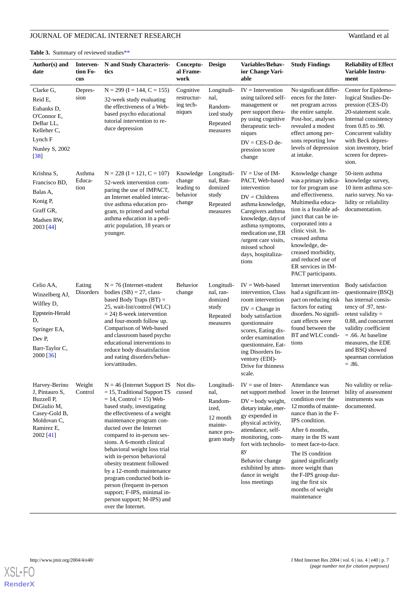<span id="page-6-0"></span>Table 3. Summary of reviewed studies\*\*

| Author(s) and<br>date                                                                                                       | Interven-<br>tion Fo-<br>cus | N and Study Characteris-<br>tics                                                                                                                                                                                                                                                                                                                                                                                                                                                                                                                            | Conceptu-<br>al Frame-<br>work                          | Design                                                                                    | Variables/Behav-<br>ior Change Vari-<br>able                                                                                                                                                                                                                                           | <b>Study Findings</b>                                                                                                                                                                                                                                                                                                                              | <b>Reliability of Effect</b><br>Variable Instru-<br>ment                                                                                                                                                                                                          |
|-----------------------------------------------------------------------------------------------------------------------------|------------------------------|-------------------------------------------------------------------------------------------------------------------------------------------------------------------------------------------------------------------------------------------------------------------------------------------------------------------------------------------------------------------------------------------------------------------------------------------------------------------------------------------------------------------------------------------------------------|---------------------------------------------------------|-------------------------------------------------------------------------------------------|----------------------------------------------------------------------------------------------------------------------------------------------------------------------------------------------------------------------------------------------------------------------------------------|----------------------------------------------------------------------------------------------------------------------------------------------------------------------------------------------------------------------------------------------------------------------------------------------------------------------------------------------------|-------------------------------------------------------------------------------------------------------------------------------------------------------------------------------------------------------------------------------------------------------------------|
| Clarke G,<br>Reid E,<br>Eubanks D,<br>O'Connor E,<br>DeBar LL,<br>Kelleher C,<br>Lynch F<br>Nunley S, 2002<br>$[38]$        | Depres-<br>sion              | $N = 299$ (I = 144, C = 155)<br>32-week study evaluating<br>the effectiveness of a Web-<br>based psycho educational<br>tutorial intervention to re-<br>duce depression                                                                                                                                                                                                                                                                                                                                                                                      | Cognitive<br>restructur-<br>ing tech-<br>niques         | Longitudi-<br>nal,<br>Random-<br>ized study<br>Repeated<br>measures                       | $IV =$ Intervention<br>using tailored self-<br>management or<br>peer support thera-<br>py using cognitive<br>therapeutic tech-<br>niques<br>$DV = CES-D$ de-<br>pression score<br>change                                                                                               | No significant differ-<br>ences for the Inter-<br>net program across<br>the entire sample.<br>Post-hoc, analyses<br>revealed a modest<br>effect among per-<br>sons reporting low<br>levels of depression<br>at intake.                                                                                                                             | Center for Epidemo-<br>logical Studies-De-<br>pression (CES-D)<br>20-statement scale.<br>Internal consistency<br>from 0.85 to .90.<br>Concurrent validity<br>with Beck depres-<br>sion inventory, brief<br>screen for depres-<br>sion.                            |
| Krishna S,<br>Francisco BD.<br>Balas A.<br>Konig P,<br>Graff GR,<br>Madsen RW,<br>2003 [44]                                 | Asthma<br>Educa-<br>tion     | $N = 228$ (I = 121, C = 107)<br>52-week intervention com-<br>paring the use of IMPACT,<br>an Internet enabled interac-<br>tive asthma education pro-<br>gram, to printed and verbal<br>asthma education in a pedi-<br>atric population, 18 years or<br>younger.                                                                                                                                                                                                                                                                                             | Knowledge<br>change<br>leading to<br>behavior<br>change | Longitudi-<br>nal, Ran-<br>domized<br>study<br>Repeated<br>measures                       | $IV = Use of IM-$<br>PACT, Web-based<br>intervention<br>$DV = Childrens$<br>asthma knowledge,<br>Caregivers asthma<br>knowledge, days of<br>asthma symptoms,<br>medication use, ER<br>/urgent care visits,<br>missed school<br>days, hospitaliza-<br>tions                             | Knowledge change<br>was a primary indica-<br>tor for program use<br>and effectiveness.<br>Multimedia educa-<br>tion is a feasible ad-<br>junct that can be in-<br>corporated into a<br>clinic visit. In-<br>creased asthma<br>knowledge, de-<br>creased morbidity,<br>and reduced use of<br>ER services in IM-<br>PACT participants.               | 50-item asthma<br>knowledge survey,<br>10 item asthma sce-<br>nario survey. No va-<br>lidity or reliability<br>documentation.                                                                                                                                     |
| Celio AA,<br>Winzelberg AJ,<br>Wilfley D,<br>Eppstein-Herald<br>D,<br>Springer EA,<br>Dev P,<br>Barr-Taylor C,<br>2000 [36] | Eating<br>Disorders          | $N = 76$ (Internet-student<br>bodies $(SB) = 27$ , class-<br>based Body Traps $(BT)$ =<br>25, wait-list/control (WLC)<br>$= 24$ ) 8-week intervention<br>and four-month follow up.<br>Comparison of Web-based<br>and classroom based psycho<br>educational interventions to<br>reduce body dissatisfaction<br>and eating disorders/behav-<br>iors/attitudes.                                                                                                                                                                                                | <b>Behavior</b><br>change                               | Longitudi-<br>nal, ran-<br>domized<br>study<br>Repeated<br>measures                       | $IV = Web-based$<br>intervention, Class<br>room intervention<br>$DV = Change$ in<br>body satisfaction<br>questionnaire<br>scores, Eating dis-<br>order examination<br>questionnaire, Eat-<br>ing Disorders In-<br>ventory (EDI)-<br>Drive for thinness<br>scale.                       | Internet intervention<br>had a significant im-<br>pact on reducing risk<br>factors for eating<br>disorders. No signifi-<br>cant effects were<br>found between the<br>BT and WLC condi-<br>tions                                                                                                                                                    | Body satisfaction<br>questionnaire (BSQ)<br>has internal consis-<br>tency of .97, test-<br>retest validity $=$<br>0.88, and concurrent<br>validity coefficient<br>$= .66$ . At baseline<br>measures, the EDE<br>and BSQ showed<br>spearman correlation<br>$=.86.$ |
| Harvey-Berino<br>J, Pintauro S,<br>Buzzell P.<br>DiGiulio M,<br>Casey-Gold B,<br>Moldovan C,<br>Ramirez E,<br>2002 [41]     | Weight<br>Control            | $N = 46$ (Internet Support IS<br>$= 15$ , Traditional Support TS<br>$= 14$ , Control $= 15$ ) Web-<br>based study, investigating<br>the effectiveness of a weight<br>maintenance program con-<br>ducted over the Internet<br>compared to in-person ses-<br>sions. A 6-month clinical<br>behavioral weight loss trial<br>with in-person behavioral<br>obesity treatment followed<br>by a 12-month maintenance<br>program conducted both in-<br>person (frequent in-person<br>support; F-IPS, minimal in-<br>person support; M-IPS) and<br>over the Internet. | Not dis-<br>cussed                                      | Longitudi-<br>nal,<br>Random-<br>ized,<br>12 month<br>mainte-<br>nance pro-<br>gram study | $IV =$ use of Inter-<br>net support method<br>$DV =$ body weight,<br>dietary intake, ener-<br>gy expended in<br>physical activity,<br>attendance, self-<br>monitoring, com-<br>fort with technolo-<br>gy<br>Behavior change<br>exhibited by atten-<br>dance in weight<br>loss meetings | Attendance was<br>lower in the Internet<br>condition over the<br>12 months of mainte-<br>nance than in the F-<br>IPS condition.<br>After 6 months,<br>many in the IS want<br>to meet face-to-face.<br>The IS condition<br>gained significantly<br>more weight than<br>the F-IPS group dur-<br>ing the first six<br>months of weight<br>maintenance | No validity or relia-<br>bility of assessment<br>instruments was<br>documented.                                                                                                                                                                                   |

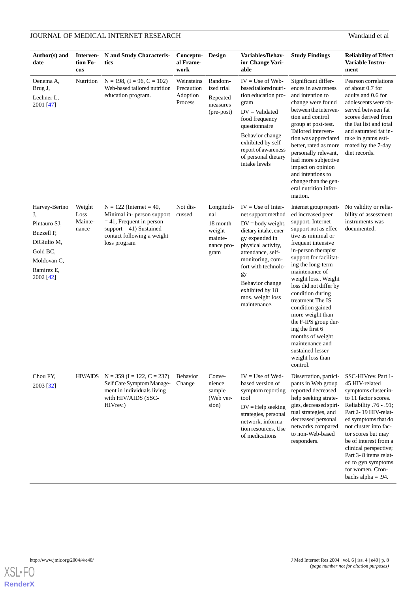| Author(s) and<br>date                                                                                                  | Interven-<br>tion Fo-<br>cus       | N and Study Characteris-<br>tics                                                                                                                                  | Conceptu-<br>al Frame-<br>work                  | <b>Design</b>                                                            | Variables/Behav-<br>ior Change Vari-<br>able                                                                                                                                                                                                                                       | <b>Study Findings</b>                                                                                                                                                                                                                                                                                                                                                                                                                                                                               | <b>Reliability of Effect</b><br>Variable Instru-<br>ment                                                                                                                                                                                                                                                                                                    |
|------------------------------------------------------------------------------------------------------------------------|------------------------------------|-------------------------------------------------------------------------------------------------------------------------------------------------------------------|-------------------------------------------------|--------------------------------------------------------------------------|------------------------------------------------------------------------------------------------------------------------------------------------------------------------------------------------------------------------------------------------------------------------------------|-----------------------------------------------------------------------------------------------------------------------------------------------------------------------------------------------------------------------------------------------------------------------------------------------------------------------------------------------------------------------------------------------------------------------------------------------------------------------------------------------------|-------------------------------------------------------------------------------------------------------------------------------------------------------------------------------------------------------------------------------------------------------------------------------------------------------------------------------------------------------------|
| Oenema A,<br>Brug J,<br>Lechner L,<br>2001 [47]                                                                        | Nutrition                          | $N = 198$ , $(I = 96, C = 102)$<br>Web-based tailored nutrition<br>education program.                                                                             | Weinsteins<br>Precaution<br>Adoption<br>Process | Random-<br>ized trial<br>Repeated<br>measures<br>(pre-post)              | $IV = Use of Web-$<br>based tailored nutri-<br>tion education pro-<br>gram<br>$DV = Validated$<br>food frequency<br>questionnaire<br>Behavior change<br>exhibited by self<br>report of awareness<br>of personal dietary<br>intake levels                                           | Significant differ-<br>ences in awareness<br>and intention to<br>change were found<br>between the interven-<br>tion and control<br>group at post-test.<br>Tailored interven-<br>tion was appreciated<br>better, rated as more<br>personally relevant,<br>had more subjective<br>impact on opinion<br>and intentions to<br>change than the gen-<br>eral nutrition infor-<br>mation.                                                                                                                  | Pearson correlations<br>of about 0.7 for<br>adults and 0.6 for<br>adolescents were ob-<br>served between fat<br>scores derived from<br>the Fat list and total<br>and saturated fat in-<br>take in grams esti-<br>mated by the 7-day<br>diet records.                                                                                                        |
| Harvey-Berino<br>J,<br>Pintauro SJ,<br>Buzzell P,<br>DiGiulio M,<br>Gold BC,<br>Moldovan C,<br>Ramirez E,<br>2002 [42] | Weight<br>Loss<br>Mainte-<br>nance | $N = 122$ (Internet = 40,<br>Minimal in- person support<br>$=$ 41, Frequent in person<br>support $= 41$ ) Sustained<br>contact following a weight<br>loss program | Not dis-<br>cussed                              | Longitudi-<br>nal<br>18 month<br>weight<br>mainte-<br>nance pro-<br>gram | $IV = Use of Inter-$<br>net support method<br>$DV =$ body weight,<br>dietary intake, ener-<br>gy expended in<br>physical activity,<br>attendance, self-<br>monitoring, com-<br>fort with technolo-<br>gy<br>Behavior change<br>exhibited by 18<br>mos. weight loss<br>maintenance. | Internet group report-<br>ed increased peer<br>support. Internet<br>support not as effec-<br>tive as minimal or<br>frequent intensive<br>in-person therapist<br>support for facilitat-<br>ing the long-term<br>maintenance of<br>weight loss Weight<br>loss did not differ by<br>condition during<br>treatment The IS<br>condition gained<br>more weight than<br>the F-IPS group dur-<br>ing the first 6<br>months of weight<br>maintenance and<br>sustained lesser<br>weight loss than<br>control. | No validity or relia-<br>bility of assessment<br>instruments was<br>documented.                                                                                                                                                                                                                                                                             |
| Chou FY,<br>2003 [32]                                                                                                  | <b>HIV/AIDS</b>                    | $N = 359$ (I = 122, C = 237)<br>Self Care Symptom Manage-<br>ment in individuals living<br>with HIV/AIDS (SSC-<br>HIVrev.)                                        | <b>Behavior</b><br>Change                       | Conve-<br>nience<br>sample<br>(Web ver-<br>sion)                         | $IV = Use of Wed-$<br>based version of<br>symptom reporting<br>tool<br>$DV = Help$ seeking<br>strategies, personal<br>network, informa-<br>tion resources, Use<br>of medications                                                                                                   | Dissertation, partici-<br>pants in Web group<br>reported decreased<br>help seeking strate-<br>gies, decreased spiri-<br>tual strategies, and<br>decreased personal<br>networks compared<br>to non-Web-based<br>responders.                                                                                                                                                                                                                                                                          | SSC-HIVrev. Part 1-<br>45 HIV-related<br>symptoms cluster in-<br>to 11 factor scores.<br>Reliability .76 - .91;<br>Part 2-19 HIV-relat-<br>ed symptoms that do<br>not cluster into fac-<br>tor scores but may<br>be of interest from a<br>clinical perspective;<br>Part 3-8 items relat-<br>ed to gyn symptoms<br>for women. Cron-<br>bachs alpha = $.94$ . |

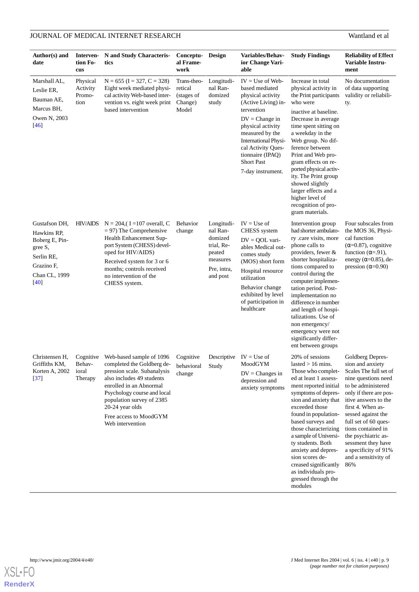| Author(s) and<br>date                                                                                            | Interven-<br>tion Fo-<br>cus           | N and Study Characteris-<br>tics                                                                                                                                                                                                                                                     | Conceptu- Design<br>al Frame-<br>work                    |                                                                                                  | <b>Variables/Behav-</b><br>ior Change Vari-<br>able                                                                                                                                                                                                                           | <b>Study Findings</b>                                                                                                                                                                                                                                                                                                                                                                                                           | <b>Reliability of Effect</b><br>Variable Instru-<br>ment                                                                                                                                                                                                                                                                                                   |
|------------------------------------------------------------------------------------------------------------------|----------------------------------------|--------------------------------------------------------------------------------------------------------------------------------------------------------------------------------------------------------------------------------------------------------------------------------------|----------------------------------------------------------|--------------------------------------------------------------------------------------------------|-------------------------------------------------------------------------------------------------------------------------------------------------------------------------------------------------------------------------------------------------------------------------------|---------------------------------------------------------------------------------------------------------------------------------------------------------------------------------------------------------------------------------------------------------------------------------------------------------------------------------------------------------------------------------------------------------------------------------|------------------------------------------------------------------------------------------------------------------------------------------------------------------------------------------------------------------------------------------------------------------------------------------------------------------------------------------------------------|
| Marshall AL,<br>Leslie ER,<br>Bauman AE,<br>Marcus BH,<br>Owen N, 2003<br>$[46]$                                 | Physical<br>Activity<br>Promo-<br>tion | $N = 655$ (I = 327, C = 328)<br>Eight week mediated physi-<br>cal activity Web-based inter-<br>vention vs. eight week print<br>based intervention                                                                                                                                    | Trans-theo-<br>retical<br>(stages of<br>Change)<br>Model | Longitudi-<br>nal Ran-<br>domized<br>study                                                       | $IV = Use of Web-$<br>based mediated<br>physical activity<br>(Active Living) in-<br>tervention<br>$DV = Change$ in<br>physical activity<br>measured by the<br><b>International Physi-</b><br>cal Activity Ques-<br>tionnaire (IPAQ)<br><b>Short Past</b><br>7-day instrument. | Increase in total<br>physical activity in<br>the Print participants<br>who were<br>inactive at baseline.<br>Decrease in average<br>time spent sitting on<br>a weekday in the<br>Web group. No dif-<br>ference between<br>Print and Web pro-<br>gram effects on re-<br>ported physical activ-<br>ity. The Print group<br>showed slightly<br>larger effects and a<br>higher level of<br>recognition of pro-<br>gram materials.    | No documentation<br>of data supporting<br>validity or reliabili-<br>ty.                                                                                                                                                                                                                                                                                    |
| Gustafson DH,<br>Hawkins RP,<br>Boberg E, Pin-<br>gree S,<br>Serlin RE,<br>Grazino F,<br>Chan CL, 1999<br>$[40]$ | <b>HIV/AIDS</b>                        | $N = 204$ , $I = 107$ overall, C<br>$= 97$ ) The Comprehensive<br>Health Enhancement Sup-<br>port System (CHESS) devel-<br>oped for HIV/AIDS)<br>Received system for 3 or 6<br>months; controls received<br>no intervention of the<br>CHESS system.                                  | <b>Behavior</b><br>change                                | Longitudi-<br>nal Ran-<br>domized<br>trial, Re-<br>peated<br>measures<br>Pre, intra,<br>and post | $IV = Use of$<br>CHESS system<br>$DV = QOL$ vari-<br>ables Medical out-<br>comes study<br>(MOS) short form<br>Hospital resource<br>utilization<br>Behavior change<br>exhibited by level<br>of participation in<br>healthcare                                                  | Intervention group<br>had shorter ambulato-<br>ry .care visits, more<br>phone calls to<br>providers, fewer $\&$<br>shorter hospitaliza-<br>tions compared to<br>control during the<br>computer implemen-<br>tation period. Post-<br>implementation no<br>difference in number<br>and length of hospi-<br>talizations. Use of<br>non emergency/<br>emergency were not<br>significantly differ-<br>ent between groups             | Four subscales from<br>the MOS 36, Physi-<br>cal function<br>$(\alpha=0.87)$ , cognitive<br>function $(\alpha = .91)$ ,<br>energy ( $\alpha$ =0.85), de-<br>pression $(\alpha=0.90)$                                                                                                                                                                       |
| Christensen H,<br>Griffiths KM,<br>Korten A, 2002<br>$\left[37\right]$                                           | Behav-<br>ioral<br>Therapy             | Cognitive Web-based sample of 1096<br>completed the Goldberg de-<br>pression scale. Subanalysis<br>also includes 49 students<br>enrolled in an Abnormal<br>Psychology course and local<br>population survey of 2385<br>20-24 year olds<br>Free access to MoodGYM<br>Web intervention | Cognitive<br>behavioral<br>change                        | Study                                                                                            | Descriptive $IV = Use of$<br>MoodGYM<br>$DV = Changes$ in<br>depression and<br>anxiety symptoms                                                                                                                                                                               | 20% of sessions<br>lasted $> 16$ mins.<br>Those who complet-<br>ed at least 1 assess-<br>ment reported initial<br>symptoms of depres-<br>sion and anxiety that<br>exceeded those<br>found in population-<br>based surveys and<br>those characterizing<br>a sample of Universi-<br>ty students. Both<br>anxiety and depres-<br>sion scores de-<br>creased significantly<br>as individuals pro-<br>gressed through the<br>modules | Goldberg Depres-<br>sion and anxiety<br>Scales The full set of<br>nine questions need<br>to be administered<br>only if there are pos-<br>itive answers to the<br>first 4. When as-<br>sessed against the<br>full set of 60 ques-<br>tions contained in<br>the psychiatric as-<br>sessment they have<br>a specificity of 91%<br>and a sensitivity of<br>86% |

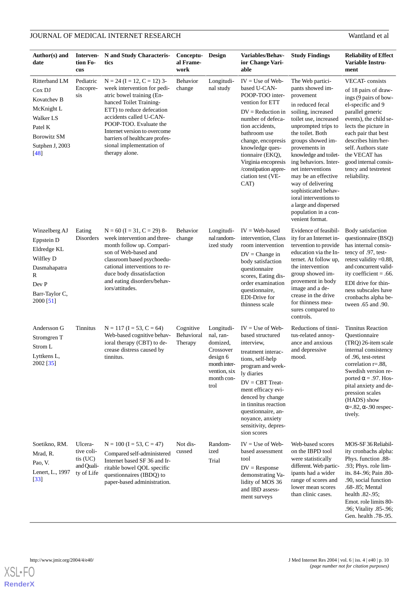| Author(s) and<br>date                                                                                                         | Interven-<br>tion Fo-<br>cus                                       | N and Study Characteris-<br>tics                                                                                                                                                                                                                                                                                      | Conceptu-<br>al Frame-<br>work     | <b>Design</b>                                                                                                      | Variables/Behav-<br>ior Change Vari-<br>able                                                                                                                                                                                                                                                             | <b>Study Findings</b>                                                                                                                                                                                                                                                                                                                                                                                                                          | <b>Reliability of Effect</b><br>Variable Instru-<br>ment                                                                                                                                                                                                                                                                 |
|-------------------------------------------------------------------------------------------------------------------------------|--------------------------------------------------------------------|-----------------------------------------------------------------------------------------------------------------------------------------------------------------------------------------------------------------------------------------------------------------------------------------------------------------------|------------------------------------|--------------------------------------------------------------------------------------------------------------------|----------------------------------------------------------------------------------------------------------------------------------------------------------------------------------------------------------------------------------------------------------------------------------------------------------|------------------------------------------------------------------------------------------------------------------------------------------------------------------------------------------------------------------------------------------------------------------------------------------------------------------------------------------------------------------------------------------------------------------------------------------------|--------------------------------------------------------------------------------------------------------------------------------------------------------------------------------------------------------------------------------------------------------------------------------------------------------------------------|
| Ritterband LM<br>Cox DJ<br>Kovatchev B<br>McKnight L<br>Walker LS<br>Patel K<br><b>Borowitz SM</b><br>Sutphen J, 2003<br>[48] | Pediatric<br>Encopre-<br>sis                                       | $N = 24$ (I = 12, C = 12) 3-<br>week intervention for pedi-<br>atric bowel training (En-<br>hanced Toilet Training-<br>ETT) to reduce defecation<br>accidents called U-CAN-<br>POOP-TOO. Evaluate the<br>Internet version to overcome<br>barriers of healthcare profes-<br>sional implementation of<br>therapy alone. | <b>Behavior</b><br>change          | Longitudi-<br>nal study                                                                                            | $IV = Use of Web-$<br>based U-CAN-<br>POOP-TOO inter-<br>vention for ETT<br>$DV = Reduction in$<br>number of defeca-<br>tion accidents,<br>bathroom use<br>change, encopresis<br>knowledge ques-<br>tionnaire (EKQ),<br>Virginia encopresis<br>/constipation appre-<br>ciation test (VE-<br>CAT)         | The Web partici-<br>pants showed im-<br>provement<br>in reduced fecal<br>soiling, increased<br>toilet use, increased<br>unprompted trips to<br>the toilet. Both<br>groups showed im-<br>provements in<br>knowledge and toilet-<br>ing behaviors. Inter-<br>net interventions<br>may be an effective<br>way of delivering<br>sophisticated behav-<br>ioral interventions to<br>a large and dispersed<br>population in a con-<br>venient format. | <b>VECAT-</b> consists<br>of 18 pairs of draw-<br>ings (9 pairs of bow-<br>el-specific and 9<br>parallel generic<br>events), the child se-<br>lects the picture in<br>each pair that best<br>describes him/her-<br>self. Authors state<br>the VECAT has<br>good internal consis-<br>tency and testretest<br>reliability. |
| Winzelberg AJ<br>Eppstein D<br>Eldredge KL<br>Wilfley D<br>Dasmahapatra<br>R<br>Dev P<br>Barr-Taylor C,<br>2000 [51]          | Eating<br>Disorders                                                | $N = 60$ (I = 31, C = 29) 8-<br>week intervention and three-<br>month follow up. Compari-<br>son of Web-based and<br>classroom based psychoedu-<br>cational interventions to re-<br>duce body dissatisfaction<br>and eating disorders/behav-<br>iors/attitudes.                                                       | <b>Behavior</b><br>change          | Longitudi-<br>nal random-<br>ized study                                                                            | $IV = Web-based$<br>intervention, Class<br>room intervention<br>$DV = Change$ in<br>body satisfaction<br>questionnaire<br>scores, Eating dis-<br>order examination<br>questionnaire,<br><b>EDI-Drive for</b><br>thinness scale                                                                           | Evidence of feasibil-<br>ity for an Internet in-<br>tervention to provide<br>education via the In-<br>ternet. At follow up,<br>the intervention<br>group showed im-<br>provement in body<br>image and a de-<br>crease in the drive<br>for thinness mea-<br>sures compared to<br>controls.                                                                                                                                                      | Body satisfaction<br>questionnaire (BSQ)<br>has internal consis-<br>tency of .97, test-<br>retest validity $=0.88$ ,<br>and concurrent valid-<br>ity coefficient = $.66$ .<br>EDI drive for thin-<br>ness subscales have<br>cronbachs alpha be-<br>tween .65 and .90.                                                    |
| Andersson G<br>Stromgren T<br>Strom L<br>Lyttkens L,<br>2002 [35]                                                             | <b>Tinnitus</b>                                                    | $N = 117$ (I = 53, C = 64)<br>Web-based cognitive behav-<br>ioral therapy (CBT) to de-<br>crease distress caused by<br>tinnitus.                                                                                                                                                                                      | Cognitive<br>Behavioral<br>Therapy | Longitudi-<br>nal, ran-<br>domized,<br>Crossover<br>design 6<br>month inter-<br>vention, six<br>month con-<br>trol | $IV = Use of Web-$<br>based structured<br>interview.<br>treatment interac-<br>tions, self-help<br>program and week-<br>ly diaries<br>$DV = CBT Treat$<br>ment efficacy evi-<br>denced by change<br>in tinnitus reaction<br>questionnaire, an-<br>noyance, anxiety<br>sensitivity, depres-<br>sion scores | Reductions of tinni-<br>tus-related annoy-<br>ance and anxious<br>and depressive<br>mood.                                                                                                                                                                                                                                                                                                                                                      | <b>Tinnitus Reaction</b><br>Questionnaire<br>(TRQ) 26-item scale<br>internal consistency<br>of .96, test-retest<br>correlation $r = .88$ ,<br>Swedish version re-<br>ported $\alpha$ = .97. Hos-<br>pital anxiety and de-<br>pression scales<br>(HADS) show<br>$\alpha = 82$ , $\alpha$ -.90 respec-<br>tively.          |
| Soetikno, RM.<br>Mrad, R.<br>Pao, V.<br>Lenert, L., 1997<br>$[33]$                                                            | Ulcera-<br>tive coli-<br>$t$ is $(UC)$<br>and Quali-<br>ty of Life | $N = 100$ (I = 53, C = 47)<br>Compared self-administered<br>Internet based SF 36 and Ir-<br>ritable bowel QOL specific<br>questionnaires (IBDQ) to<br>paper-based administration.                                                                                                                                     | Not dis-<br>cussed                 | Random-<br>ized<br>Trial                                                                                           | $IV = Use of Web-$<br>based assessment<br>tool<br>$DV =$ Response<br>demonstrating Va-<br>lidity of MOS 36<br>and IBD assess-<br>ment surveys                                                                                                                                                            | Web-based scores<br>on the IBPD tool<br>were statistically<br>different. Web partic-<br>ipants had a wider<br>range of scores and<br>lower mean scores<br>than clinic cases.                                                                                                                                                                                                                                                                   | MOS-SF 36 Reliabil-<br>ity cronbachs alpha:<br>Phys. function .88-<br>.93; Phys. role lim-<br>its. 84-.96; Pain .80-<br>.90, social function<br>.68-.85; Mental<br>health .82-.95;<br>Emot. role limits 80-<br>.96; Vitality .85-.96;<br>Gen. health .78-.95.                                                            |

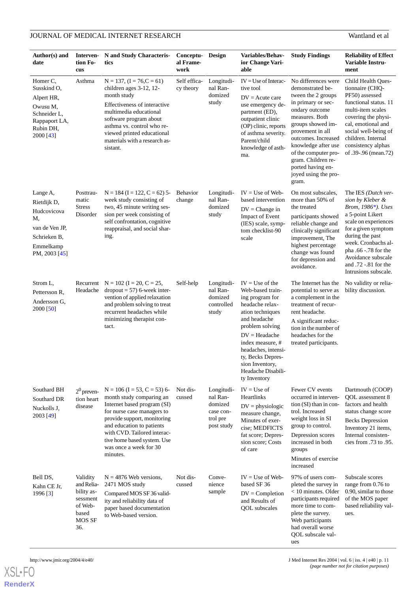| Author(s) and<br>date                                                                                        | Interven-<br>tion Fo-<br>cus                                                          | N and Study Characteris-<br>tics                                                                                                                                                                                                                                                       | Conceptu-<br>al Frame-<br>work | <b>Design</b>                                                            | Variables/Behav-<br>ior Change Vari-<br>able                                                                                                                                                                                                                                   | <b>Study Findings</b>                                                                                                                                                                                                                                                                                              | <b>Reliability of Effect</b><br>Variable Instru-<br>ment                                                                                                                                                                                                                 |
|--------------------------------------------------------------------------------------------------------------|---------------------------------------------------------------------------------------|----------------------------------------------------------------------------------------------------------------------------------------------------------------------------------------------------------------------------------------------------------------------------------------|--------------------------------|--------------------------------------------------------------------------|--------------------------------------------------------------------------------------------------------------------------------------------------------------------------------------------------------------------------------------------------------------------------------|--------------------------------------------------------------------------------------------------------------------------------------------------------------------------------------------------------------------------------------------------------------------------------------------------------------------|--------------------------------------------------------------------------------------------------------------------------------------------------------------------------------------------------------------------------------------------------------------------------|
| Homer C,<br>Susskind O,<br>Alpert HR,<br>Owusu M,<br>Schneider L,<br>Rappaport LA,<br>Rubin DH,<br>2000 [43] | Asthma                                                                                | $N = 137$ , $(I = 76, C = 61)$<br>children ages 3-12, 12-<br>month study<br>Effectiveness of interactive<br>multimedia educational<br>software program about<br>asthma vs. control who re-<br>viewed printed educational<br>materials with a research as-<br>sistant.                  | Self effica-<br>cy theory      | Longitudi-<br>nal Ran-<br>domized<br>study                               | $IV = Use of Interac-$<br>tive tool<br>$DV = Acute care$<br>use emergency de-<br>partment (ED),<br>outpatient clinic<br>(OP) clinic, reports<br>of asthma severity.<br>Parent/child<br>knowledge of asth-<br>ma.                                                               | No differences were<br>demonstrated be-<br>tween the 2 groups<br>in primary or sec-<br>ondary outcome<br>measures. Both<br>groups showed im-<br>provement in all<br>outcomes. Increased<br>knowledge after use<br>of the computer pro-<br>gram. Children re-<br>ported having en-<br>joyed using the pro-<br>gram. | Child Health Ques-<br>tionnaire (CHQ-<br>PF50) assessed<br>functional status. 11<br>multi-item scales<br>covering the physi-<br>cal, emotional and<br>social well-being of<br>children. Internal<br>consistency alphas<br>of .39-.96 (mean.72)                           |
| Lange A,<br>Rietdijk D,<br>Hudcovicova<br>M,<br>van de Ven JP,<br>Schrieken B,<br>Emmelkamp<br>PM, 2003 [45] | Posttrau-<br>matic<br><b>Stress</b><br>Disorder                                       | $N = 184$ (I = 122, C = 62) 5-<br>week study consisting of<br>two, 45 minute writing ses-<br>sion per week consisting of<br>self confrontation, cognitive<br>reappraisal, and social shar-<br>ing.                                                                                     | <b>Behavior</b><br>change      | Longitudi-<br>nal Ran-<br>domized<br>study                               | $IV = Use of Web-$<br>based intervention<br>$DV = Change$ in<br>Impact of Event<br>(IES) scale, symp-<br>tom checklist-90<br>scale                                                                                                                                             | On most subscales,<br>more than 50% of<br>the treated<br>participants showed<br>reliable change and<br>clinically significant<br>improvement, The<br>highest percentage<br>change was found<br>for depression and<br>avoidance.                                                                                    | The IES (Dutch ver-<br>sion by Kleber &<br>Brom, 1986*). Uses<br>a 5-point Likert<br>scale on experiences<br>for a given symptom<br>during the past<br>week. Cronbachs al-<br>pha .66 -.78 for the<br>Avoidance subscale<br>and .72 -.81 for the<br>Intrusions subscale. |
| Strom L,<br>Pettersson R.<br>Andersson G,<br>2000 [50]                                                       | Headache                                                                              | Recurrent $N = 102$ (I = 20, C = 25,<br>$\text{dropout} = 57$ ) 6-week inter-<br>vention of applied relaxation<br>and problem solving to treat<br>recurrent headaches while<br>minimizing therapist con-<br>tact.                                                                      | Self-help                      | Longitudi-<br>nal Ran-<br>domized<br>controlled<br>study                 | $IV = Use of the$<br>Web-based train-<br>ing program for<br>headache relax-<br>ation techniques<br>and headache<br>problem solving<br>$DV = Headache$<br>index measure, #<br>headaches, intensi-<br>ty, Becks Depres-<br>sion Inventory,<br>Headache Disabili-<br>ty Inventory | The Internet has the<br>potential to serve as<br>a complement in the<br>treatment of recur-<br>rent headache.<br>A significant reduc-<br>tion in the number of<br>headaches for the<br>treated participants.                                                                                                       | No validity or relia-<br>bility discussion.                                                                                                                                                                                                                              |
| Southard BH<br>Southard DR<br>Nuckolls J,<br>2003 [49]                                                       | $2^0$ preven-<br>tion heart<br>disease                                                | $N = 106$ (I = 53, C = 53) 6-<br>month study comparing an<br>Internet based program (SI)<br>for nurse case managers to<br>provide support, monitoring<br>and education to patients<br>with CVD. Tailored interac-<br>tive home based system. Use<br>was once a week for 30<br>minutes. | Not dis-<br>cussed             | Longitudi-<br>nal Ran-<br>domized<br>case con-<br>trol pre<br>post study | $IV = Use of$<br>Heartlinks<br>$DV = physiologic$<br>measure change,<br>Minutes of exer-<br>cise; MEDFICTS<br>fat score; Depres-<br>sion score; Costs<br>of care                                                                                                               | Fewer CV events<br>occurred in interven-<br>tion (SI) than in con-<br>trol. Increased<br>weight loss in SI<br>group to control.<br>Depression scores<br>increased in both<br>groups<br>Minutes of exercise<br>increased                                                                                            | Dartmouth (COOP)<br>OOL assessment 8<br>factors and health<br>status change score<br><b>Becks Depression</b><br>Inventory 21 items,<br>Internal consisten-<br>cies from $.73$ to $.95$ .                                                                                 |
| Bell DS,<br>Kahn CE Jr,<br>1996 [3]                                                                          | Validity<br>and Relia-<br>bility as-<br>sessment<br>of Web-<br>based<br>MOS SF<br>36. | $N = 4876$ Web versions,<br>2471 MOS study<br>Compared MOS SF 36 valid-<br>ity and reliability data of<br>paper based documentation<br>to Web-based version.                                                                                                                           | Not dis-<br>cussed             | Conve-<br>nience<br>sample                                               | $IV = Use of Web-$<br>based SF 36<br>$DV =$ Completion<br>and Results of<br><b>QOL</b> subscales                                                                                                                                                                               | 97% of users com-<br>pleted the survey in<br>< 10 minutes. Older<br>participants required<br>more time to com-<br>plete the survey.<br>Web participants<br>had overall worse<br>QOL subscale val-<br>ues                                                                                                           | Subscale scores<br>range from 0.76 to<br>0.90, similar to those<br>of the MOS paper<br>based reliability val-<br>ues.                                                                                                                                                    |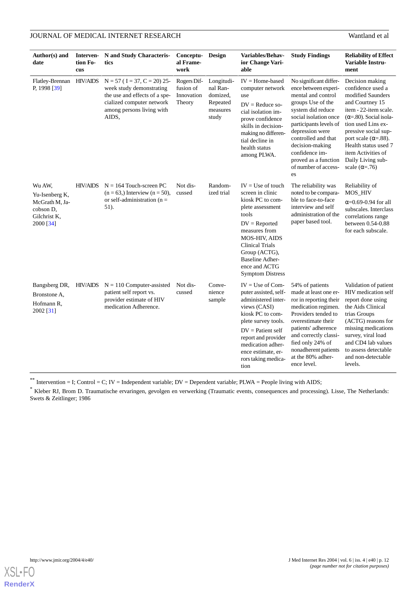| Author(s) and<br>date                                                                | Interven-<br>tion Fo-<br>cus | N and Study Characteris-<br>tics                                                                                                                              | Conceptu-<br>al Frame-<br>work                   | Design                                                              | Variables/Behav-<br>ior Change Vari-<br>able                                                                                                                                                                                                                          | <b>Study Findings</b>                                                                                                                                                                                                                                                                                  | <b>Reliability of Effect</b><br>Variable Instru-<br>ment                                                                                                                                                                                                                                                               |
|--------------------------------------------------------------------------------------|------------------------------|---------------------------------------------------------------------------------------------------------------------------------------------------------------|--------------------------------------------------|---------------------------------------------------------------------|-----------------------------------------------------------------------------------------------------------------------------------------------------------------------------------------------------------------------------------------------------------------------|--------------------------------------------------------------------------------------------------------------------------------------------------------------------------------------------------------------------------------------------------------------------------------------------------------|------------------------------------------------------------------------------------------------------------------------------------------------------------------------------------------------------------------------------------------------------------------------------------------------------------------------|
| Flatley-Brennan<br>P, 1998 [39]                                                      | <b>HIV/AIDS</b>              | $N = 57$ (I = 37, C = 20) 25-<br>week study demonstrating<br>the use and effects of a spe-<br>cialized computer network<br>among persons living with<br>AIDS, | Rogers Dif-<br>fusion of<br>Innovation<br>Theory | Longitudi-<br>nal Ran-<br>domized,<br>Repeated<br>measures<br>study | $IV =$ Home-based<br>computer network<br>use<br>$DV = Reduce so-$<br>cial isolation im-<br>prove confidence<br>skills in decision-<br>making no differen-<br>tial decline in<br>health status<br>among PLWA.                                                          | No significant differ-<br>ence between experi-<br>mental and control<br>groups Use of the<br>system did reduce<br>social isolation once<br>participants levels of<br>depression were<br>controlled and that<br>decision-making<br>confidence im-<br>proved as a function<br>of number of access-<br>es | Decision making<br>confidence used a<br>modified Saunders<br>and Courtney 15<br>item - 22-item scale.<br>$(\alpha = .80)$ . Social isola-<br>tion used Lins ex-<br>pressive social sup-<br>port scale ( $\alpha = .88$ ).<br>Health status used 7<br>item Activities of<br>Daily Living sub-<br>scale $(\alpha = .76)$ |
| Wu AW,<br>Yu-Isenberg K,<br>McGrath M, Ja-<br>cobson D,<br>Gilchrist K,<br>2000 [34] | <b>HIV/AIDS</b>              | $N = 164$ Touch-screen PC<br>$(n = 63)$ , Interview $(n = 50)$ ,<br>or self-administration ( $n =$<br>51).                                                    | Not dis-<br>cussed                               | Random-<br>ized trial                                               | $IV = Use of touch$<br>screen in clinic<br>kiosk PC to com-<br>plete assessment<br>tools<br>$DV = Reported$<br>measures from<br><b>MOS-HIV, AIDS</b><br><b>Clinical Trials</b><br>Group (ACTG),<br><b>Baseline Adher-</b><br>ence and ACTG<br><b>Symptom Distress</b> | The reliability was<br>noted to be compara-<br>ble to face-to-face<br>interview and self<br>administration of the<br>paper based tool.                                                                                                                                                                 | Reliability of<br>MOS_HIV<br>$\alpha$ =0.69-0.94 for all<br>subscales. Interclass<br>correlations range<br>between 0.54-0.88<br>for each subscale.                                                                                                                                                                     |
| Bangsberg DR,<br>Bronstone A,<br>Hofmann R,<br>2002 [31]                             | <b>HIV/AIDS</b>              | $N = 110$ Computer-assisted<br>patient self report vs.<br>provider estimate of HIV<br>medication Adherence.                                                   | Not dis-<br>cussed                               | Conve-<br>nience<br>sample                                          | $IV = Use of Com-$<br>puter assisted, self-<br>administered inter-<br>views (CASI)<br>kiosk PC to com-<br>plete survey tools.<br>$DV =$ Patient self<br>report and provider<br>medication adher-<br>ence estimate, er-<br>rors taking medica-<br>tion                 | 54% of patients<br>made at least one er-<br>ror in reporting their<br>medication regimen.<br>Providers tended to<br>overestimate their<br>patients' adherence<br>and correctly classi-<br>fied only 24% of<br>nonadherent patients<br>at the 80% adher-<br>ence level.                                 | Validation of patient<br>HIV medication self<br>report done using<br>the Aids Clinical<br>trias Groups<br>(ACTG) reasons for<br>missing medications<br>survey, viral load<br>and CD4 lab values<br>to assess detectable<br>and non-detectable<br>levels.                                                               |

\*\* Intervention = I; Control = C; IV = Independent variable;  $DV = Dependent$  variable;  $PLWA = People$  living with AIDS;

\* Kleber RJ, Brom D. Traumatische ervaringen, gevolgen en verwerking (Traumatic events, consequences and processing). Lisse, The Netherlands: Swets & Zeitlinger; 1986

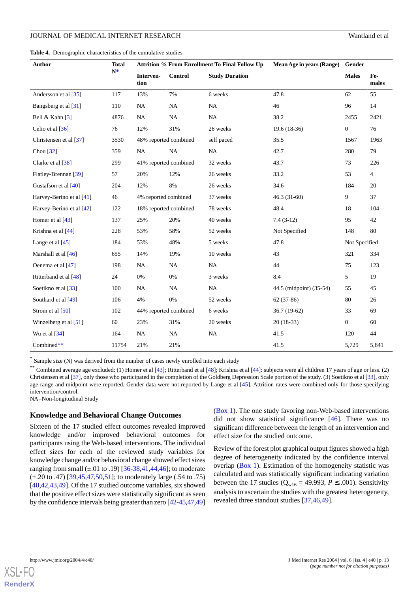<span id="page-12-0"></span>**Table 4.** Demographic characteristics of the cumulative studies

| <b>Author</b>                 | <b>Total</b> | <b>Attrition % From Enrollment To Final Follow Up</b> |                |                       | Mean Age in years (Range) | Gender         |                |
|-------------------------------|--------------|-------------------------------------------------------|----------------|-----------------------|---------------------------|----------------|----------------|
|                               | $N^*$        | Interven-<br>tion                                     | <b>Control</b> | <b>Study Duration</b> |                           | <b>Males</b>   | Fe-<br>males   |
| Andersson et al [35]          | 117          | 13%                                                   | 7%             | 6 weeks               | 47.8                      | 62             | 55             |
| Bangsberg et al [31]          | 110          | NA                                                    | <b>NA</b>      | NA                    | 46                        | 96             | 14             |
| Bell & Kahn $\lceil 3 \rceil$ | 4876         | <b>NA</b>                                             | <b>NA</b>      | NA                    | 38.2                      | 2455           | 2421           |
| Celio et al [36]              | 76           | 12%                                                   | 31%            | 26 weeks              | $19.6(18-36)$             | $\overline{0}$ | 76             |
| Christensen et al [37]        | 3530         | 48% reported combined                                 |                | self paced            | 35.5                      | 1567           | 1963           |
| Chou $[32]$                   | 359          | NA                                                    | <b>NA</b>      | NA                    | 42.7                      | 280            | 79             |
| Clarke et al [38]             | 299          | 41% reported combined                                 |                | 32 weeks              | 43.7                      | 73             | 226            |
| Flatley-Brennan [39]          | 57           | 20%                                                   | 12%            | 26 weeks              | 33.2                      | 53             | $\overline{4}$ |
| Gustafson et al [40]          | 204          | 12%                                                   | 8%             | 26 weeks              | 34.6                      | 184            | 20             |
| Harvey-Berino et al [41]      | 46           | 4% reported combined                                  |                | 37 weeks              | $46.3(31-60)$             | 9              | 37             |
| Harvey-Berino et al [42]      | 122          | 18% reported combined                                 |                | 78 weeks              | 48.4                      | 18             | 104            |
| Homer et al [43]              | 137          | 25%                                                   | 20%            | 40 weeks              | $7.4(3-12)$               | 95             | 42             |
| Krishna et al [44]            | 228          | 53%                                                   | 58%            | 52 weeks              | Not Specified             | 148            | 80             |
| Lange et al [45]              | 184          | 53%                                                   | 48%            | 5 weeks               | 47.8                      | Not Specified  |                |
| Marshall et al $[46]$         | 655          | 14%                                                   | 19%            | 10 weeks              | 43                        | 321            | 334            |
| Oenema et al [47]             | 198          | NA                                                    | NA             | $\rm NA$              | 44                        | 75             | 123            |
| Ritterband et al [48]         | 24           | 0%                                                    | 0%             | 3 weeks               | 8.4                       | 5              | 19             |
| Soetikno et al [33]           | 100          | NA                                                    | NA             | NA                    | 44.5 (midpoint) (35-54)   | 55             | 45             |
| Southard et al [49]           | 106          | 4%                                                    | 0%             | 52 weeks              | 62 (37-86)                | 80             | 26             |
| Strom et al [50]              | 102          | 44% reported combined                                 |                | 6 weeks               | $36.7(19-62)$             | 33             | 69             |
| Winzelberg et al [51]         | 60           | 23%                                                   | 31%            | 20 weeks              | 20 (18-33)                | $\overline{0}$ | 60             |
| Wu et al $[34]$               | 164          | NA                                                    | <b>NA</b>      | NA                    | 41.5                      | 120            | 44             |
| Combined**                    | 11754        | 21%                                                   | 21%            |                       | 41.5                      | 5,729          | 5,841          |

\* Sample size (N) was derived from the number of cases newly enrolled into each study

\*\* Combined average age excluded: (1) Homer et al [[43](#page-19-5)]; Ritterband et al [[48\]](#page-19-4); Krishna et al [\[44\]](#page-19-1): subjects were all children 17 years of age or less. (2) Christensen et al [\[37\]](#page-18-14), only those who participated in the completion of the Goldberg Depression Scale portion of the study. (3) Soetikno et al [\[33\]](#page-18-15), only age range and midpoint were reported. Gender data were not reported by Lange et al [\[45](#page-19-6)]. Attrition rates were combined only for those specifying intervention/control.

NA=Non-longitudinal Study

#### **Knowledge and Behavioral Change Outcomes**

Sixteen of the 17 studied effect outcomes revealed improved knowledge and/or improved behavioral outcomes for participants using the Web-based interventions. The individual effect sizes for each of the reviewed study variables for knowledge change and/or behavioral change showed effect sizes ranging from small  $(\pm .01 \text{ to } .19)$  [\[36](#page-18-9)-[38](#page-18-8)[,41](#page-18-10),[44](#page-19-1)[,46](#page-19-3)]; to moderate (±.20 to .47) [\[39](#page-18-16),[45,](#page-19-6)[47,](#page-19-2)[50](#page-19-7)[,51](#page-19-0)]; to moderately large (.54 to .75) [[40](#page-18-13)[,42](#page-18-11),[43](#page-19-5)[,49](#page-19-8)]. Of the 17 studied outcome variables, six showed that the positive effect sizes were statistically significant as seen by the confidence intervals being greater than zero [\[42](#page-18-11)[-45](#page-19-6)[,47](#page-19-2)[,49](#page-19-8)]

([Box 1](#page-13-0)). The one study favoring non-Web-based interventions did not show statistical significance [[46\]](#page-19-3). There was no significant difference between the length of an intervention and effect size for the studied outcome.

Review of the forest plot graphical output figures showed a high degree of heterogeneity indicated by the confidence interval overlap ([Box 1\)](#page-13-0). Estimation of the homogeneity statistic was calculated and was statistically significant indicating variation between the 17 studies ( $Q_{w16} = 49.993$ ,  $P \le 0.001$ ). Sensitivity analysis to ascertain the studies with the greatest heterogeneity, revealed three standout studies [\[37](#page-18-14),[46,](#page-19-3)[49](#page-19-8)].

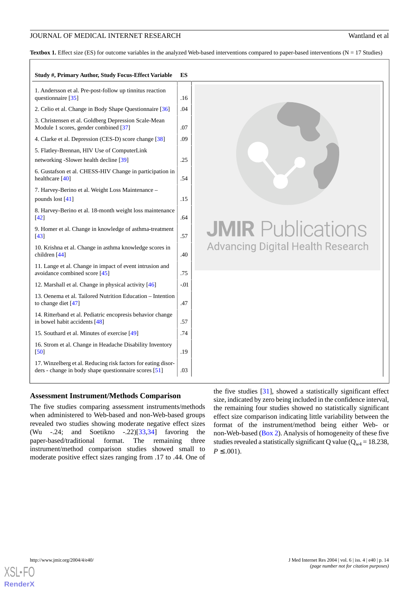<span id="page-13-0"></span>Textbox 1. Effect size (ES) for outcome variables in the analyzed Web-based interventions compared to paper-based interventions (N = 17 Studies)

#### **Study #, Primary Author, Study Focus-Effect Variable ES**

| 1. Andersson et al. Pre-post-follow up tinnitus reaction<br>questionnaire $[35]$                                       | .16   |
|------------------------------------------------------------------------------------------------------------------------|-------|
| 2. Celio et al. Change in Body Shape Questionnaire [36]                                                                | .04   |
| 3. Christensen et al. Goldberg Depression Scale-Mean<br>Module 1 scores, gender combined [37]                          | .07   |
| 4. Clarke et al. Depression (CES-D) score change [38]                                                                  | .09   |
| 5. Flatley-Brennan, HIV Use of ComputerLink<br>networking -Slower health decline [39]                                  | .25   |
| 6. Gustafson et al. CHESS-HIV Change in participation in<br>healthcare $[40]$                                          | .54   |
| 7. Harvey-Berino et al. Weight Loss Maintenance -<br>pounds lost $[41]$                                                | .15   |
| 8. Harvey-Berino et al. 18-month weight loss maintenance<br>[42]                                                       | .64   |
| 9. Homer et al. Change in knowledge of asthma-treatment<br>[43]                                                        | .57   |
| 10. Krishna et al. Change in asthma knowledge scores in<br>children [44]                                               | .40   |
| 11. Lange et al. Change in impact of event intrusion and<br>avoidance combined score [45]                              | .75   |
| 12. Marshall et al. Change in physical activity [46]                                                                   | $-01$ |
| 13. Oenema et al. Tailored Nutrition Education - Intention<br>to change diet $[47]$                                    | .47   |
| 14. Ritterband et al. Pediatric encopresis behavior change<br>in bowel habit accidents [48]                            | .57   |
| 15. Southard et al. Minutes of exercise [49]                                                                           | .74   |
| 16. Strom et al. Change in Headache Disability Inventory<br>[50]                                                       | .19   |
| 17. Winzelberg et al. Reducing risk factors for eating disor-<br>ders - change in body shape questionnaire scores [51] | .03   |
|                                                                                                                        |       |



#### **Assessment Instrument/Methods Comparison**

The five studies comparing assessment instruments/methods when administered to Web-based and non-Web-based groups revealed two studies showing moderate negative effect sizes (Wu -.24; and Soetikno -.22)[\[33](#page-18-15),[34\]](#page-18-6) favoring the paper-based/traditional format. The remaining three instrument/method comparison studies showed small to moderate positive effect sizes ranging from .17 to .44. One of the five studies [\[31](#page-18-5)], showed a statistically significant effect size, indicated by zero being included in the confidence interval, the remaining four studies showed no statistically significant effect size comparison indicating little variability between the format of the instrument/method being either Web- or non-Web-based ([Box 2](#page-14-0)). Analysis of homogeneity of these five studies revealed a statistically significant Q value ( $Q_{w4} = 18.238$ ,  $P \leq .001$ ).

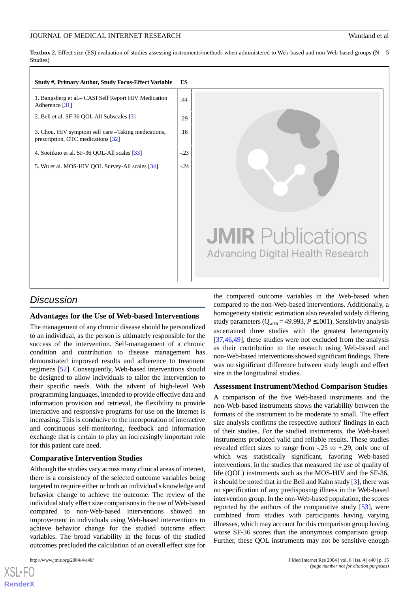<span id="page-14-0"></span>**Textbox 2.** Effect size (ES) evaluation of studies assessing instruments/methods when administered to Web-based and non-Web-based groups (N = 5 Studies)

## **Study #, Primary Author, Study Focus-Effect Variable ES** 1. Bangsberg et al.– CASI Self Report HIV Medication | 44 Adherence [\[31\]](#page-18-5) 2. Bell et al. SF [3](#page-17-2)6 QOL All Subscales  $\begin{bmatrix} 3 \end{bmatrix}$  29 3. Chou. HIV symptom self care –Taking medications, 16 prescription, OTC medications [\[32\]](#page-18-12) 4. Soetikno et al. SF-36 QOL-All scales  $\left[33\right]$  -.23 5. Wu et al. MOS-HIV QOL Survey-All scales  $\lceil 34 \rceil$  -.24



#### *Discussion*

#### **Advantages for the Use of Web-based Interventions**

The management of any chronic disease should be personalized to an individual, as the person is ultimately responsible for the success of the intervention. Self-management of a chronic condition and contribution to disease management has demonstrated improved results and adherence to treatment regimens [\[52](#page-19-9)]. Consequently, Web-based interventions should be designed to allow individuals to tailor the intervention to their specific needs. With the advent of high-level Web programming languages, intended to provide effective data and information provision and retrieval, the flexibility to provide interactive and responsive programs for use on the Internet is increasing. This is conducive to the incorporation of interactive and continuous self-monitoring, feedback and information exchange that is certain to play an increasingly important role for this patient care need.

#### **Comparative Intervention Studies**

Although the studies vary across many clinical areas of interest, there is a consistency of the selected outcome variables being targeted to require either or both an individual's knowledge and behavior change to achieve the outcome. The review of the individual study effect size comparisons in the use of Web-based compared to non-Web-based interventions showed an improvement in individuals using Web-based interventions to achieve behavior change for the studied outcome effect variables. The broad variability in the focus of the studied outcomes precluded the calculation of an overall effect size for

the compared outcome variables in the Web-based when compared to the non-Web-based interventions. Additionally, a homogeneity statistic estimation also revealed widely differing study parameters ( $Q_{w16} = 49.993$ ,  $P \le 0.001$ ). Sensitivity analysis ascertained three studies with the greatest heterogeneity [[37,](#page-18-14)[46,](#page-19-3)[49\]](#page-19-8), these studies were not excluded from the analysis as their contribution to the research using Web-based and non-Web-based interventions showed significant findings. There was no significant difference between study length and effect size in the longitudinal studies.

#### **Assessment Instrument/Method Comparison Studies**

A comparison of the five Web-based instruments and the non-Web-based instruments shows the variability between the formats of the instrument to be moderate to small. The effect size analysis confirms the respective authors' findings in each of their studies. For the studied instruments, the Web-based instruments produced valid and reliable results. These studies revealed effect sizes to range from  $-.25$  to  $+.29$ , only one of which was statistically significant, favoring Web-based interventions. In the studies that measured the use of quality of life (QOL) instruments such as the MOS-HIV and the SF-36, it should be noted that in the Bell and Kahn study [\[3\]](#page-17-2), there was no specification of any predisposing illness in the Web-based intervention group. In the non-Web-based population, the scores reported by the authors of the comparative study [[53\]](#page-19-10), were combined from studies with participants having varying illnesses, which may account for this comparison group having worse SF-36 scores than the anonymous comparison group. Further, these QOL instruments may not be sensitive enough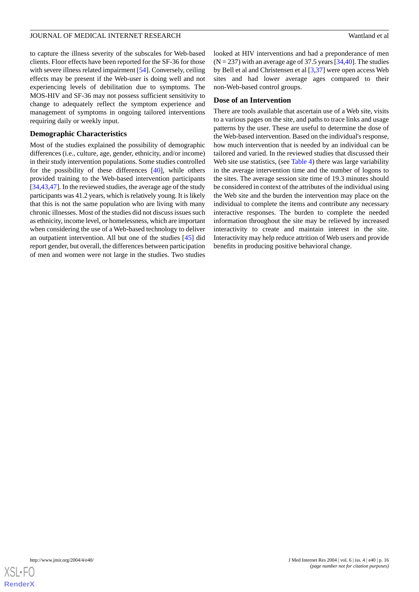to capture the illness severity of the subscales for Web-based clients. Floor effects have been reported for the SF-36 for those with severe illness related impairment [[54\]](#page-19-11). Conversely, ceiling effects may be present if the Web-user is doing well and not experiencing levels of debilitation due to symptoms. The MOS-HIV and SF-36 may not possess sufficient sensitivity to change to adequately reflect the symptom experience and management of symptoms in ongoing tailored interventions requiring daily or weekly input.

#### **Demographic Characteristics**

Most of the studies explained the possibility of demographic differences (i.e., culture, age, gender, ethnicity, and/or income) in their study intervention populations. Some studies controlled for the possibility of these differences [[40\]](#page-18-13), while others provided training to the Web-based intervention participants [[34](#page-18-6)[,43](#page-19-5),[47\]](#page-19-2). In the reviewed studies, the average age of the study participants was 41.2 years, which is relatively young. It is likely that this is not the same population who are living with many chronic illnesses. Most of the studies did not discuss issues such as ethnicity, income level, or homelessness, which are important when considering the use of a Web-based technology to deliver an outpatient intervention. All but one of the studies [\[45](#page-19-6)] did report gender, but overall, the differences between participation of men and women were not large in the studies. Two studies

looked at HIV interventions and had a preponderance of men  $(N = 237)$  with an average age of 37.5 years [\[34](#page-18-6)[,40](#page-18-13)]. The studies by Bell et al and Christensen et al [\[3](#page-17-2),[37\]](#page-18-14) were open access Web sites and had lower average ages compared to their non-Web-based control groups.

#### **Dose of an Intervention**

There are tools available that ascertain use of a Web site, visits to a various pages on the site, and paths to trace links and usage patterns by the user. These are useful to determine the dose of the Web-based intervention. Based on the individual's response, how much intervention that is needed by an individual can be tailored and varied. In the reviewed studies that discussed their Web site use statistics, (see [Table 4\)](#page-12-0) there was large variability in the average intervention time and the number of logons to the sites. The average session site time of 19.3 minutes should be considered in context of the attributes of the individual using the Web site and the burden the intervention may place on the individual to complete the items and contribute any necessary interactive responses. The burden to complete the needed information throughout the site may be relieved by increased interactivity to create and maintain interest in the site. Interactivity may help reduce attrition of Web users and provide benefits in producing positive behavioral change.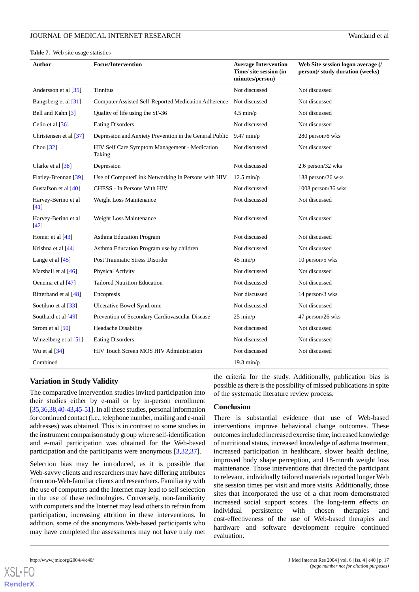| Author                        | <b>Focus/Intervention</b>                               | <b>Average Intervention</b><br>Time/ site session (in<br>minutes/person) | Web Site session logon average (/<br>person)/ study duration (weeks) |
|-------------------------------|---------------------------------------------------------|--------------------------------------------------------------------------|----------------------------------------------------------------------|
| Andersson et al [35]          | Tinnitus                                                | Not discussed                                                            | Not discussed                                                        |
| Bangsberg et al [31]          | Computer Assisted Self-Reported Medication Adherence    | Not discussed                                                            | Not discussed                                                        |
| Bell and Kahn [3]             | Quality of life using the SF-36                         | $4.5$ min/p                                                              | Not discussed                                                        |
| Celio et al [36]              | <b>Eating Disorders</b>                                 | Not discussed                                                            | Not discussed                                                        |
| Christensen et al [37]        | Depression and Anxiety Prevention in the General Public | $9.47$ min/p                                                             | 280 person/6 wks                                                     |
| Chou [32]                     | HIV Self Care Symptom Management - Medication<br>Taking | Not discussed                                                            | Not discussed                                                        |
| Clarke et al [38]             | Depression                                              | Not discussed                                                            | 2.6 person/32 wks                                                    |
| Flatley-Brennan [39]          | Use of ComputerLink Networking in Persons with HIV      | $12.5 \text{ min/p}$                                                     | 188 person/26 wks                                                    |
| Gustafson et al [40]          | CHESS - In Persons With HIV                             | Not discussed                                                            | 1008 person/36 wks                                                   |
| Harvey-Berino et al<br>$[41]$ | Weight Loss Maintenance                                 | Not discussed                                                            | Not discussed                                                        |
| Harvey-Berino et al<br>[42]   | Weight Loss Maintenance                                 | Not discussed                                                            | Not discussed                                                        |
| Homer et al $[43]$            | Asthma Education Program                                | Not discussed                                                            | Not discussed                                                        |
| Krishna et al [44]            | Asthma Education Program use by children                | Not discussed                                                            | Not discussed                                                        |
| Lange et al $[45]$            | Post Traumatic Stress Disorder                          | $45$ min/p                                                               | 10 person/5 wks                                                      |
| Marshall et al $[46]$         | <b>Physical Activity</b>                                | Not discussed                                                            | Not discussed                                                        |
| Oenema et al [47]             | <b>Tailored Nutrition Education</b>                     | Not discussed                                                            | Not discussed                                                        |
| Ritterband et al [48]         | Encopresis                                              | Nor discussed                                                            | 14 person/3 wks                                                      |
| Soetikno et al [33]           | <b>Ulcerative Bowel Syndrome</b>                        | Not discussed                                                            | Not discussed                                                        |
| Southard et al [49]           | Prevention of Secondary Cardiovascular Disease          | $25 \text{ min/p}$                                                       | 47 person/26 wks                                                     |
| Strom et al [50]              | <b>Headache Disability</b>                              | Not discussed                                                            | Not discussed                                                        |
| Winzelberg et al $[51]$       | <b>Eating Disorders</b>                                 | Not discussed                                                            | Not discussed                                                        |
| Wu et al $[34]$               | <b>HIV Touch Screen MOS HIV Administration</b>          | Not discussed                                                            | Not discussed                                                        |
| Combined                      |                                                         | $19.3 \text{ min/p}$                                                     |                                                                      |

#### **Variation in Study Validity**

The comparative intervention studies invited participation into their studies either by e-mail or by in-person enrollment [[35](#page-18-7),[36,](#page-18-9)[38,](#page-18-8)[40-](#page-18-13)[43,](#page-19-5)[45-](#page-19-6)[51\]](#page-19-0). In all these studies, personal information for continued contact (i.e., telephone number, mailing and e-mail addresses) was obtained. This is in contrast to some studies in the instrument comparison study group where self-identification and e-mail participation was obtained for the Web-based participation and the participants were anonymous [\[3](#page-17-2),[32,](#page-18-12)[37](#page-18-14)].

Selection bias may be introduced, as it is possible that Web-savvy clients and researchers may have differing attributes from non-Web-familiar clients and researchers. Familiarity with the use of computers and the Internet may lead to self selection in the use of these technologies. Conversely, non-familiarity with computers and the Internet may lead others to refrain from participation, increasing attrition in these interventions. In addition, some of the anonymous Web-based participants who may have completed the assessments may not have truly met the criteria for the study. Additionally, publication bias is possible as there is the possibility of missed publications in spite of the systematic literature review process.

#### **Conclusion**

There is substantial evidence that use of Web-based interventions improve behavioral change outcomes. These outcomes included increased exercise time, increased knowledge of nutritional status, increased knowledge of asthma treatment, increased participation in healthcare, slower health decline, improved body shape perception, and 18-month weight loss maintenance. Those interventions that directed the participant to relevant, individually tailored materials reported longer Web site session times per visit and more visits. Additionally, those sites that incorporated the use of a chat room demonstrated increased social support scores. The long-term effects on individual persistence with chosen therapies and cost-effectiveness of the use of Web-based therapies and hardware and software development require continued evaluation.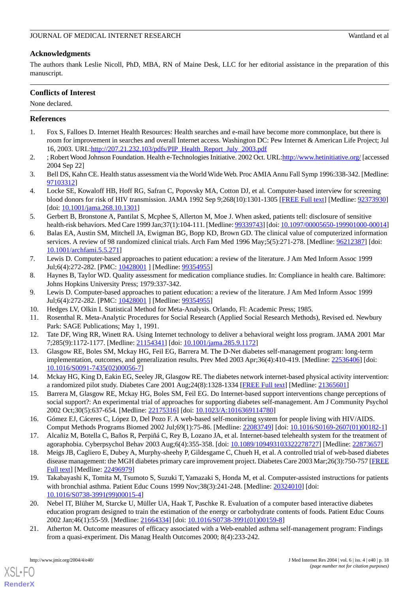#### **Acknowledgments**

The authors thank Leslie Nicoll, PhD, MBA, RN of Maine Desk, LLC for her editorial assistance in the preparation of this manuscript.

#### **Conflicts of Interest**

None declared.

#### <span id="page-17-0"></span>**References**

- <span id="page-17-1"></span>1. Fox S, Falloes D. Internet Health Resources: Health searches and e-mail have become more commonplace, but there is room for improvement in searches and overall Internet access. Washington DC: Pew Internet & American Life Project; Jul 16, 2003. URL[:http://207.21.232.103/pdfs/PIP\\_Health\\_Report\\_July\\_2003.pdf](http://207.21.232.103/pdfs/PIP_Health_Report_July_2003.pdf)
- <span id="page-17-2"></span>2. ; Robert Wood Johnson Foundation. Health e-Technologies Initiative. 2002 Oct. URL[:http://www.hetinitiative.org/](http://www.hetinitiative.org/) [accessed] 2004 Sep 22]
- <span id="page-17-3"></span>3. Bell DS, Kahn CE. Health status assessment via the World Wide Web. Proc AMIA Annu Fall Symp 1996:338-342. [Medline: [97103312](http://www.ncbi.nlm.nih.gov/entrez/query.fcgi?cmd=Retrieve&db=PubMed&list_uids=97103312&dopt=Abstract)]
- <span id="page-17-4"></span>4. Locke SE, Kowaloff HB, Hoff RG, Safran C, Popovsky MA, Cotton DJ, et al. Computer-based interview for screening blood donors for risk of HIV transmission. JAMA 1992 Sep 9;268(10):1301-1305 [\[FREE Full text\]](http://screening.iarc.fr/planningmanual.php) [Medline: [92373930](http://www.ncbi.nlm.nih.gov/entrez/query.fcgi?cmd=Retrieve&db=PubMed&list_uids=92373930&dopt=Abstract)] [doi: [10.1001/jama.268.10.1301](http://dx.doi.org/10.1001/jama.268.10.1301)]
- <span id="page-17-5"></span>5. Gerbert B, Bronstone A, Pantilat S, Mcphee S, Allerton M, Moe J. When asked, patients tell: disclosure of sensitive health-risk behaviors. Med Care 1999 Jan;37(1):104-111. [Medline: [99339743](http://www.ncbi.nlm.nih.gov/entrez/query.fcgi?cmd=Retrieve&db=PubMed&list_uids=99339743&dopt=Abstract)] [doi: [10.1097/00005650-199901000-00014](http://dx.doi.org/10.1097/00005650-199901000-00014)]
- <span id="page-17-6"></span>6. Balas EA, Austin SM, Mitchell JA, Ewigman BG, Bopp KD, Brown GD. The clinical value of computerized information services. A review of 98 randomized clinical trials. Arch Fam Med 1996 May;5(5):271-278. [Medline: [96212387](http://www.ncbi.nlm.nih.gov/entrez/query.fcgi?cmd=Retrieve&db=PubMed&list_uids=96212387&dopt=Abstract)] [doi: [10.1001/archfami.5.5.271\]](http://dx.doi.org/10.1001/archfami.5.5.271)
- <span id="page-17-8"></span><span id="page-17-7"></span>7. Lewis D. Computer-based approaches to patient education: a review of the literature. J Am Med Inform Assoc 1999 Jul;6(4):272-282. [PMC: [10428001](http://www.pubmedcentral.nih.gov/articlerender.fcgi?tool=pubmed&pubmedid=10428001) ] [Medline: [99354955\]](http://www.ncbi.nlm.nih.gov/entrez/query.fcgi?cmd=Retrieve&db=PubMed&list_uids=99354955&dopt=Abstract)
- <span id="page-17-9"></span>8. Haynes B, Taylor WD. Quality assessment for medication compliance studies. In: Compliance in health care. Baltimore: Johns Hopkins University Press; 1979:337-342.
- <span id="page-17-10"></span>9. Lewis D. Computer-based approaches to patient education: a review of the literature. J Am Med Inform Assoc 1999 Jul;6(4):272-282. [PMC: [10428001](http://www.pubmedcentral.nih.gov/articlerender.fcgi?tool=pubmed&pubmedid=10428001) ] [Medline: [99354955\]](http://www.ncbi.nlm.nih.gov/entrez/query.fcgi?cmd=Retrieve&db=PubMed&list_uids=99354955&dopt=Abstract)
- <span id="page-17-11"></span>10. Hedges LV, Olkin I. Statistical Method for Meta-Analysis. Orlando, Fl: Academic Press; 1985.
- 11. Rosenthal R. Meta-Analytic Procedures for Social Research (Applied Social Research Methods), Revised ed. Newbury Park: SAGE Publications; May 1, 1991.
- 12. Tate DF, Wing RR, Winett RA. Using Internet technology to deliver a behavioral weight loss program. JAMA 2001 Mar 7;285(9):1172-1177. [Medline: [21154341](http://www.ncbi.nlm.nih.gov/entrez/query.fcgi?cmd=Retrieve&db=PubMed&list_uids=21154341&dopt=Abstract)] [doi: [10.1001/jama.285.9.1172\]](http://dx.doi.org/10.1001/jama.285.9.1172)
- <span id="page-17-12"></span>13. Glasgow RE, Boles SM, Mckay HG, Feil EG, Barrera M. The D-Net diabetes self-management program: long-term implementation, outcomes, and generalization results. Prev Med 2003 Apr;36(4):410-419. [Medline: [22536406](http://www.ncbi.nlm.nih.gov/entrez/query.fcgi?cmd=Retrieve&db=PubMed&list_uids=22536406&dopt=Abstract)] [doi: [10.1016/S0091-7435\(02\)00056-7\]](http://dx.doi.org/10.1016/S0091-7435(02)00056-7)
- <span id="page-17-13"></span>14. Mckay HG, King D, Eakin EG, Seeley JR, Glasgow RE. The diabetes network internet-based physical activity intervention: a randomized pilot study. Diabetes Care 2001 Aug;24(8):1328-1334 [\[FREE Full text\]](http://care.diabetesjournals.org/cgi/pmidlookup?view=long&pmid=11473065) [Medline: [21365601\]](http://www.ncbi.nlm.nih.gov/entrez/query.fcgi?cmd=Retrieve&db=PubMed&list_uids=21365601&dopt=Abstract)
- <span id="page-17-14"></span>15. Barrera M, Glasgow RE, Mckay HG, Boles SM, Feil EG. Do Internet-based support interventions change perceptions of social support?: An experimental trial of approaches for supporting diabetes self-management. Am J Community Psychol 2002 Oct;30(5):637-654. [Medline: [22175316\]](http://www.ncbi.nlm.nih.gov/entrez/query.fcgi?cmd=Retrieve&db=PubMed&list_uids=22175316&dopt=Abstract) [doi: [10.1023/A:1016369114780](http://dx.doi.org/10.1023/A:1016369114780)]
- <span id="page-17-15"></span>16. Gómez EJ, Cáceres C, López D, Del Pozo F. A web-based self-monitoring system for people living with HIV/AIDS. Comput Methods Programs Biomed 2002 Jul;69(1):75-86. [Medline: [22083749](http://www.ncbi.nlm.nih.gov/entrez/query.fcgi?cmd=Retrieve&db=PubMed&list_uids=22083749&dopt=Abstract)] [doi: [10.1016/S0169-2607\(01\)00182-1\]](http://dx.doi.org/10.1016/S0169-2607(01)00182-1)
- <span id="page-17-16"></span>17. Alcañiz M, Botella C, Baños R, Perpiñá C, Rey B, Lozano JA, et al. Internet-based telehealth system for the treatment of agoraphobia. Cyberpsychol Behav 2003 Aug;6(4):355-358. [doi: [10.1089/109493103322278727](http://dx.doi.org/10.1089/109493103322278727)] [Medline: [22873657](http://www.ncbi.nlm.nih.gov/entrez/query.fcgi?cmd=Retrieve&db=PubMed&list_uids=22873657&dopt=Abstract)]
- 18. Meigs JB, Cagliero E, Dubey A, Murphy-sheehy P, Gildesgame C, Chueh H, et al. A controlled trial of web-based diabetes disease management: the MGH diabetes primary care improvement project. Diabetes Care 2003 Mar;26(3):750-757 [\[FREE](http://care.diabetesjournals.org/cgi/pmidlookup?view=long&pmid=12610033) [Full text\]](http://care.diabetesjournals.org/cgi/pmidlookup?view=long&pmid=12610033) [Medline: [22496979\]](http://www.ncbi.nlm.nih.gov/entrez/query.fcgi?cmd=Retrieve&db=PubMed&list_uids=22496979&dopt=Abstract)
- 19. Takabayashi K, Tomita M, Tsumoto S, Suzuki T, Yamazaki S, Honda M, et al. Computer-assisted instructions for patients with bronchial asthma. Patient Educ Couns 1999 Nov;38(3):241-248. [Medline: [20324010\]](http://www.ncbi.nlm.nih.gov/entrez/query.fcgi?cmd=Retrieve&db=PubMed&list_uids=20324010&dopt=Abstract) [doi: [10.1016/S0738-3991\(99\)00015-4\]](http://dx.doi.org/10.1016/S0738-3991(99)00015-4)
- 20. Nebel IT, Blüher M, Starcke U, Müller UA, Haak T, Paschke R. Evaluation of a computer based interactive diabetes education program designed to train the estimation of the energy or carbohydrate contents of foods. Patient Educ Couns 2002 Jan;46(1):55-59. [Medline: [21664334\]](http://www.ncbi.nlm.nih.gov/entrez/query.fcgi?cmd=Retrieve&db=PubMed&list_uids=21664334&dopt=Abstract) [doi: [10.1016/S0738-3991\(01\)00159-8](http://dx.doi.org/10.1016/S0738-3991(01)00159-8)]
- 21. Atherton M. Outcome measures of efficacy associated with a Web-enabled asthma self-management program: Findings from a quasi-experiment. Dis Manag Health Outcomes 2000; 8(4):233-242.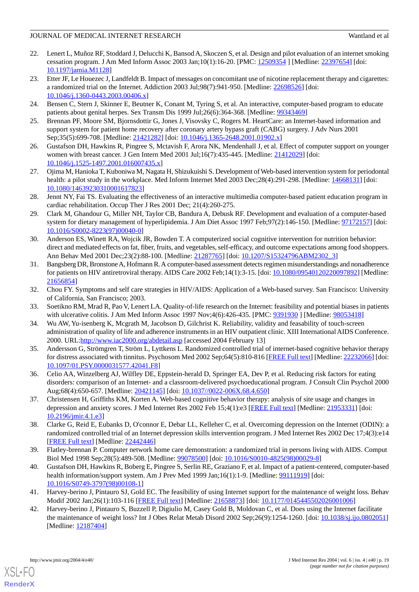- 22. Lenert L, Muñoz RF, Stoddard J, Delucchi K, Bansod A, Skoczen S, et al. Design and pilot evaluation of an internet smoking cessation program. J Am Med Inform Assoc 2003 Jan;10(1):16-20. [PMC: [12509354](http://www.pubmedcentral.nih.gov/articlerender.fcgi?tool=pubmed&pubmedid=12509354) ] [Medline: [22397654\]](http://www.ncbi.nlm.nih.gov/entrez/query.fcgi?cmd=Retrieve&db=PubMed&list_uids=22397654&dopt=Abstract) [doi: [10.1197/jamia.M1128](http://dx.doi.org/10.1197/jamia.M1128)]
- 23. Etter JF, Le Houezec J, Landfeldt B. Impact of messages on concomitant use of nicotine replacement therapy and cigarettes: a randomized trial on the Internet. Addiction 2003 Jul;98(7):941-950. [Medline: [22698526\]](http://www.ncbi.nlm.nih.gov/entrez/query.fcgi?cmd=Retrieve&db=PubMed&list_uids=22698526&dopt=Abstract) [doi: [10.1046/j.1360-0443.2003.00406.x\]](http://dx.doi.org/10.1046/j.1360-0443.2003.00406.x)
- <span id="page-18-1"></span><span id="page-18-0"></span>24. Bensen C, Stern J, Skinner E, Beutner K, Conant M, Tyring S, et al. An interactive, computer-based program to educate patients about genital herpes. Sex Transm Dis 1999 Jul;26(6):364-368. [Medline: [99343469\]](http://www.ncbi.nlm.nih.gov/entrez/query.fcgi?cmd=Retrieve&db=PubMed&list_uids=99343469&dopt=Abstract)
- 25. Brennan PF, Moore SM, Bjornsdottir G, Jones J, Visovsky C, Rogers M. HeartCare: an Internet-based information and support system for patient home recovery after coronary artery bypass graft (CABG) surgery. J Adv Nurs 2001 Sep;35(5):699-708. [Medline: [21421282](http://www.ncbi.nlm.nih.gov/entrez/query.fcgi?cmd=Retrieve&db=PubMed&list_uids=21421282&dopt=Abstract)] [doi: [10.1046/j.1365-2648.2001.01902.x\]](http://dx.doi.org/10.1046/j.1365-2648.2001.01902.x)
- <span id="page-18-2"></span>26. Gustafson DH, Hawkins R, Pingree S, Mctavish F, Arora NK, Mendenhall J, et al. Effect of computer support on younger women with breast cancer. J Gen Intern Med 2001 Jul;16(7):435-445. [Medline: [21412029\]](http://www.ncbi.nlm.nih.gov/entrez/query.fcgi?cmd=Retrieve&db=PubMed&list_uids=21412029&dopt=Abstract) [doi: [10.1046/j.1525-1497.2001.016007435.x\]](http://dx.doi.org/10.1046/j.1525-1497.2001.016007435.x)
- <span id="page-18-3"></span>27. Ojima M, Hanioka T, Kuboniwa M, Nagata H, Shizukuishi S. Development of Web-based intervention system for periodontal health: a pilot study in the workplace. Med Inform Internet Med 2003 Dec;28(4):291-298. [Medline: [14668131](http://www.ncbi.nlm.nih.gov/entrez/query.fcgi?cmd=Retrieve&db=PubMed&list_uids=14668131&dopt=Abstract)] [doi: [10.1080/14639230310001617823\]](http://dx.doi.org/10.1080/14639230310001617823)
- 28. Jennt NY, Fai TS. Evaluating the effectiveness of an interactive multimedia computer-based patient education program in cardiac rehabilitation. Occup Ther J Res 2001 Dec; 21(4):260-275.
- <span id="page-18-4"></span>29. Clark M, Ghandour G, Miller NH, Taylor CB, Bandura A, Debusk RF. Development and evaluation of a computer-based system for dietary management of hyperlipidemia. J Am Diet Assoc 1997 Feb;97(2):146-150. [Medline: [97172157\]](http://www.ncbi.nlm.nih.gov/entrez/query.fcgi?cmd=Retrieve&db=PubMed&list_uids=97172157&dopt=Abstract) [doi: [10.1016/S0002-8223\(97\)00040-0\]](http://dx.doi.org/10.1016/S0002-8223(97)00040-0)
- <span id="page-18-5"></span>30. Anderson ES, Winett RA, Wojcik JR, Bowden T. A computerized social cognitive intervention for nutrition behavior: direct and mediated effects on fat, fiber, fruits, and vegetables, self-efficacy, and outcome expectations among food shoppers. Ann Behav Med 2001 Dec;23(2):88-100. [Medline: [21287765](http://www.ncbi.nlm.nih.gov/entrez/query.fcgi?cmd=Retrieve&db=PubMed&list_uids=21287765&dopt=Abstract)] [doi: [10.1207/S15324796ABM2302\\_3\]](http://dx.doi.org/10.1207/S15324796ABM2302_3)
- <span id="page-18-15"></span><span id="page-18-12"></span>31. Bangsberg DR, Bronstone A, Hofmann R. A computer-based assessment detects regimen misunderstandings and nonadherence for patients on HIV antiretroviral therapy. AIDS Care 2002 Feb;14(1):3-15. [doi: [10.1080/09540120220097892\]](http://dx.doi.org/10.1080/09540120220097892) [Medline: [21656854](http://www.ncbi.nlm.nih.gov/entrez/query.fcgi?cmd=Retrieve&db=PubMed&list_uids=21656854&dopt=Abstract)]
- <span id="page-18-6"></span>32. Chou FY. Symptoms and self care strategies in HIV/AIDS: Application of a Web-based survey. San Francisco: University of California, San Francisco; 2003.
- <span id="page-18-7"></span>33. Soetikno RM, Mrad R, Pao V, Lenert LA. Quality-of-life research on the Internet: feasibility and potential biases in patients with ulcerative colitis. J Am Med Inform Assoc 1997 Nov;4(6):426-435. [PMC: 9391930] [Medline: [98053418\]](http://www.ncbi.nlm.nih.gov/entrez/query.fcgi?cmd=Retrieve&db=PubMed&list_uids=98053418&dopt=Abstract)
- 34. Wu AW, Yu-isenberg K, Mcgrath M, Jacobson D, Gilchrist K. Reliability, validity and feasability of touch-screen administration of quality of life and adherence instruments in an HIV outpatient clinic. XIII International AIDS Conference. 2000. URL[:http://www.iac2000.org/abdetail.asp](http://www.iac2000.org/abdetail.asp) [accessed 2004 February 13]
- <span id="page-18-14"></span><span id="page-18-9"></span>35. Andersson G, Strömgren T, Ström L, Lyttkens L. Randomized controlled trial of internet-based cognitive behavior therapy for distress associated with tinnitus. Psychosom Med 2002 Sep;64(5):810-816 [[FREE Full text](http://www.psychosomaticmedicine.org/cgi/content/full/64/5/810)] [Medline: [22232066](http://www.ncbi.nlm.nih.gov/entrez/query.fcgi?cmd=Retrieve&db=PubMed&list_uids=22232066&dopt=Abstract)] [doi: [10.1097/01.PSY.0000031577.42041.F8](http://dx.doi.org/10.1097/01.PSY.0000031577.42041.F8)]
- <span id="page-18-8"></span>36. Celio AA, Winzelberg AJ, Wilfley DE, Eppstein-herald D, Springer EA, Dev P, et al. Reducing risk factors for eating disorders: comparison of an Internet- and a classroom-delivered psychoeducational program. J Consult Clin Psychol 2000 Aug;68(4):650-657. [Medline: [20421145](http://www.ncbi.nlm.nih.gov/entrez/query.fcgi?cmd=Retrieve&db=PubMed&list_uids=20421145&dopt=Abstract)] [doi: [10.1037//0022-006X.68.4.650\]](http://dx.doi.org/10.1037//0022-006X.68.4.650)
- <span id="page-18-16"></span>37. Christensen H, Griffiths KM, Korten A. Web-based cognitive behavior therapy: analysis of site usage and changes in depression and anxiety scores. J Med Internet Res 2002 Feb 15;4(1):e3 [\[FREE Full text\]](http://www.jmir.org/2002/1/e3/) [Medline: [21953331\]](http://www.ncbi.nlm.nih.gov/entrez/query.fcgi?cmd=Retrieve&db=PubMed&list_uids=21953331&dopt=Abstract) [doi: [10.2196/jmir.4.1.e3\]](http://dx.doi.org/10.2196/jmir.4.1.e3)
- <span id="page-18-13"></span>38. Clarke G, Reid E, Eubanks D, O'connor E, Debar LL, Kelleher C, et al. Overcoming depression on the Internet (ODIN): a randomized controlled trial of an Internet depression skills intervention program. J Med Internet Res 2002 Dec 17;4(3):e14 [[FREE Full text](http://www.jmir.org/2002/3/e14/)] [Medline: [22442446](http://www.ncbi.nlm.nih.gov/entrez/query.fcgi?cmd=Retrieve&db=PubMed&list_uids=22442446&dopt=Abstract)]
- <span id="page-18-10"></span>39. Flatley-brennan P. Computer network home care demonstration: a randomized trial in persons living with AIDS. Comput Biol Med 1998 Sep;28(5):489-508. [Medline: [99078500](http://www.ncbi.nlm.nih.gov/entrez/query.fcgi?cmd=Retrieve&db=PubMed&list_uids=99078500&dopt=Abstract)] [doi: [10.1016/S0010-4825\(98\)00029-8\]](http://dx.doi.org/10.1016/S0010-4825(98)00029-8)
- <span id="page-18-11"></span>40. Gustafson DH, Hawkins R, Boberg E, Pingree S, Serlin RE, Graziano F, et al. Impact of a patient-centered, computer-based health information/support system. Am J Prev Med 1999 Jan;16(1):1-9. [Medline: [99111919\]](http://www.ncbi.nlm.nih.gov/entrez/query.fcgi?cmd=Retrieve&db=PubMed&list_uids=99111919&dopt=Abstract) [doi: [10.1016/S0749-3797\(98\)00108-1\]](http://dx.doi.org/10.1016/S0749-3797(98)00108-1)
- 41. Harvey-berino J, Pintauro SJ, Gold EC. The feasibility of using Internet support for the maintenance of weight loss. Behav Modif 2002 Jan;26(1):103-116 [\[FREE Full text\]](http://bmo.sagepub.com/cgi/reprint/26/1/103) [Medline: [21658873](http://www.ncbi.nlm.nih.gov/entrez/query.fcgi?cmd=Retrieve&db=PubMed&list_uids=21658873&dopt=Abstract)] [doi: [10.1177/0145445502026001006\]](http://dx.doi.org/10.1177/0145445502026001006)
- 42. Harvey-berino J, Pintauro S, Buzzell P, Digiulio M, Casey Gold B, Moldovan C, et al. Does using the Internet facilitate the maintenance of weight loss? Int J Obes Relat Metab Disord 2002 Sep;26(9):1254-1260. [doi: [10.1038/sj.ijo.0802051\]](http://dx.doi.org/10.1038/sj.ijo.0802051) [Medline: [12187404](http://www.ncbi.nlm.nih.gov/entrez/query.fcgi?cmd=Retrieve&db=PubMed&list_uids=12187404&dopt=Abstract)]